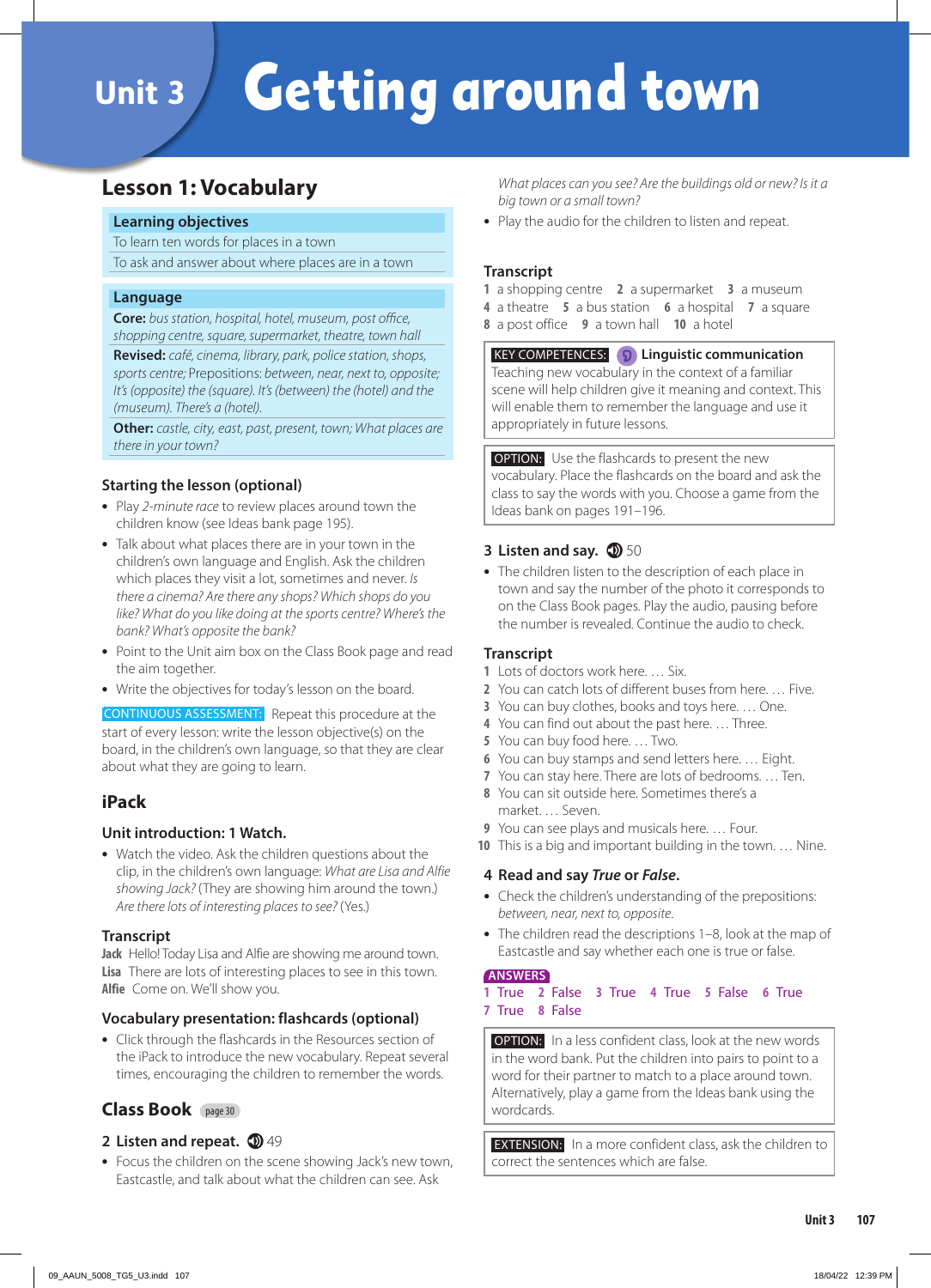# Unit 3 Getting around town

# **Lesson 1: Vocabulary**

#### **Learning objectives**

To learn ten words for places in a town

To ask and answer about where places are in a town

#### **Language**

**Core:** *bus station, hospital, hotel, museum, post office, shopping centre, square, supermarket, theatre, town hall*

**Revised:** *café, cinema, library, park, police station, shops, sports centre;* Prepositions: *between, near, next to, opposite; It's (opposite) the (square). It's (between) the (hotel) and the (museum). There's a (hotel).*

**Other:** *castle, city, east, past, present, town; What places are there in your town?*

#### **Starting the lesson (optional)**

- **•** Play *2-minute race* to review places around town the children know (see Ideas bank page 195).
- **•** Talk about what places there are in your town in the children's own language and English. Ask the children which places they visit a lot, sometimes and never. *Is there a cinema? Are there any shops? Which shops do you like? What do you like doing at the sports centre? Where's the bank? What's opposite the bank?*
- **•** Point to the Unit aim box on the Class Book page and read the aim together.
- **•** Write the objectives for today's lesson on the board.

CONTINUOUS ASSESSMENT: Repeat this procedure at the start of every lesson: write the lesson objective(s) on the board, in the children's own language, so that they are clear about what they are going to learn.

# **iPack**

#### **Unit introduction: 1 Watch.**

**•** Watch the video. Ask the children questions about the clip, in the children's own language: *What are Lisa and Alfie showing Jack?* (They are showing him around the town.) *Are there lots of interesting places to see?* (Yes.)

#### **Transcript**

**Jack** Hello! Today Lisa and Alfie are showing me around town. **Lisa** There are lots of interesting places to see in this town. **Alfie** Come on. We'll show you.

# **Vocabulary presentation: flashcards (optional)**

**•** Click through the flashcards in the Resources section of the iPack to introduce the new vocabulary. Repeat several times, encouraging the children to remember the words.

# **Class Book** page 30

# **2 Listen and repeat. 1**49

**•** Focus the children on the scene showing Jack's new town, Eastcastle, and talk about what the children can see. Ask

*What places can you see? Are the buildings old or new? Is it a big town or a small town?*

**•** Play the audio for the children to listen and repeat.

#### **Transcript**

- **1** a shopping centre **2** a supermarket **3** a museum
- **4** a theatre **5** a bus station **6** a hospital **7** a square
- **8** a post office **9** a town hall **10** a hotel

 KEY COMPETENCES: **Linguistic communication**  Teaching new vocabulary in the context of a familiar scene will help children give it meaning and context. This will enable them to remember the language and use it appropriately in future lessons.

**OPTION:** Use the flashcards to present the new vocabulary. Place the flashcards on the board and ask the class to say the words with you. Choose a game from the Ideas bank on pages 191–196.

#### **3** Listen and say. **1** 50

**•** The children listen to the description of each place in town and say the number of the photo it corresponds to on the Class Book pages. Play the audio, pausing before the number is revealed. Continue the audio to check.

#### **Transcript**

- **1** Lots of doctors work here. … Six.
- **2** You can catch lots of different buses from here. … Five.
- **3** You can buy clothes, books and toys here. … One.
- **4** You can find out about the past here. … Three.
- **5** You can buy food here. … Two.
- **6** You can buy stamps and send letters here. … Eight.
- **7** You can stay here. There are lots of bedrooms. … Ten.
- **8** You can sit outside here. Sometimes there's a market. … Seven.
- **9** You can see plays and musicals here. … Four.
- **10** This is a big and important building in the town. … Nine.

#### **4 Read and say** *True* **or** *False***.**

- **•** Check the children's understanding of the prepositions: *between, near, next to, opposite*.
- **•** The children read the descriptions 1–8, look at the map of Eastcastle and say whether each one is true or false.

#### **ANSWERS**

**1** True **2** False **3** True **4** True **5** False **6** True **7** True **8** False

 OPTION: In a less confident class, look at the new words in the word bank. Put the children into pairs to point to a word for their partner to match to a place around town. Alternatively, play a game from the Ideas bank using the wordcards.

**EXTENSION:** In a more confident class, ask the children to correct the sentences which are false.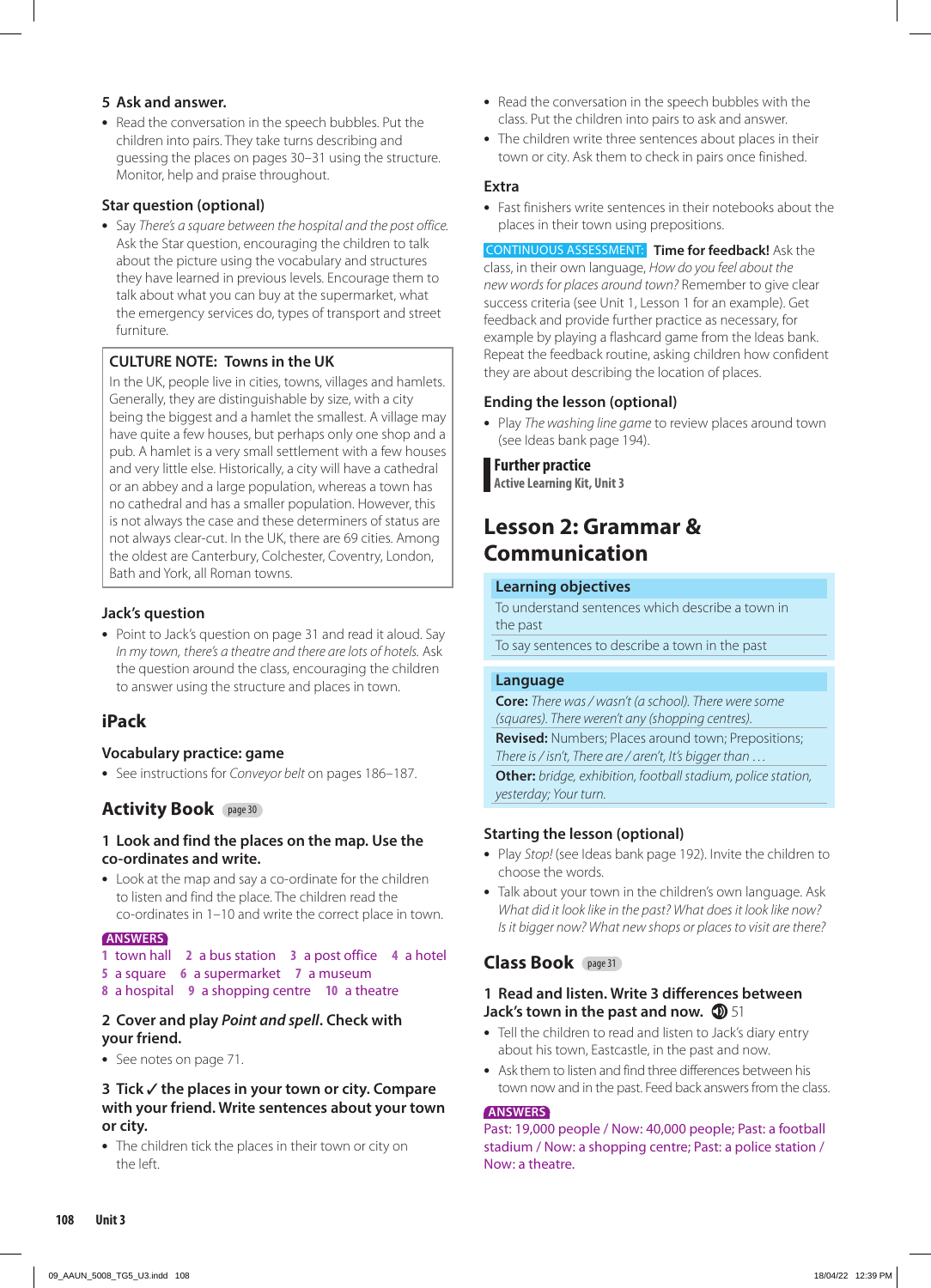#### **5 Ask and answer.**

**•** Read the conversation in the speech bubbles. Put the children into pairs. They take turns describing and guessing the places on pages 30–31 using the structure. Monitor, help and praise throughout.

#### **Star question (optional)**

**•** Say *There's a square between the hospital and the post office.* Ask the Star question, encouraging the children to talk about the picture using the vocabulary and structures they have learned in previous levels. Encourage them to talk about what you can buy at the supermarket, what the emergency services do, types of transport and street furniture.

#### **CULTURE NOTE: Towns in the UK**

In the UK, people live in cities, towns, villages and hamlets. Generally, they are distinguishable by size, with a city being the biggest and a hamlet the smallest. A village may have quite a few houses, but perhaps only one shop and a pub. A hamlet is a very small settlement with a few houses and very little else. Historically, a city will have a cathedral or an abbey and a large population, whereas a town has no cathedral and has a smaller population. However, this is not always the case and these determiners of status are not always clear-cut. In the UK, there are 69 cities. Among the oldest are Canterbury, Colchester, Coventry, London, Bath and York, all Roman towns.

#### **Jack's question**

**•** Point to Jack's question on page 31 and read it aloud. Say *In my town, there's a theatre and there are lots of hotels.* Ask the question around the class, encouraging the children to answer using the structure and places in town.

# **iPack**

# **Vocabulary practice: game**

**•** See instructions for *Conveyor belt* on pages 186–187.

# **Activity Book** page 30

#### **1 Look and find the places on the map. Use the co-ordinates and write.**

**•** Look at the map and say a co-ordinate for the children to listen and find the place. The children read the co-ordinates in 1–10 and write the correct place in town.

#### **ANSWERS**

- **1** town hall **2** a bus station **3** a post office **4** a hotel
- **5** a square **6** a supermarket **7** a museum **8** a hospital **9** a shopping centre **10** a theatre

#### **2 Cover and play** *Point and spell***. Check with your friend.**

**•** See notes on page 71.

#### **3 Tick the places in your town or city. Compare with your friend. Write sentences about your town or city.**

**•** The children tick the places in their town or city on the left.

- **•** Read the conversation in the speech bubbles with the class. Put the children into pairs to ask and answer.
- **•** The children write three sentences about places in their town or city. Ask them to check in pairs once finished.

#### **Extra**

**•** Fast finishers write sentences in their notebooks about the places in their town using prepositions.

CONTINUOUS ASSESSMENT: **Time for feedback!** Ask the class, in their own language, *How do you feel about the new words for places around town?* Remember to give clear success criteria (see Unit 1, Lesson 1 for an example). Get feedback and provide further practice as necessary, for example by playing a flashcard game from the Ideas bank. Repeat the feedback routine, asking children how confident they are about describing the location of places.

#### **Ending the lesson (optional)**

**•** Play *The washing line game* to review places around town (see Ideas bank page 194).

#### **Further practice**

**Active Learning Kit, Unit 3**

# **Lesson 2: Grammar & Communication**

#### **Learning objectives**

To understand sentences which describe a town in the past

To say sentences to describe a town in the past

#### **Language**

**Core:** *There was / wasn't (a school). There were some (squares). There weren't any (shopping centres).*

**Revised:** Numbers; Places around town; Prepositions; *There is / isn't, There are / aren't, It's bigger than …*

**Other:** *bridge, exhibition, football stadium, police station, yesterday; Your turn.*

# **Starting the lesson (optional)**

- **•** Play *Stop!* (see Ideas bank page 192). Invite the children to choose the words.
- **•** Talk about your town in the children's own language. Ask *What did it look like in the past? What does it look like now? Is it bigger now? What new shops or places to visit are there?*

# **Class Book** page 31

#### **1 Read and listen. Write 3 differences between Jack's town in the past and now.**  $\mathbf{D}$  51

- **•** Tell the children to read and listen to Jack's diary entry about his town, Eastcastle, in the past and now.
- **•** Ask them to listen and find three differences between his town now and in the past. Feed back answers from the class.

#### **ANSWERS**

Past: 19,000 people / Now: 40,000 people; Past: a football stadium / Now: a shopping centre; Past: a police station / Now: a theatre.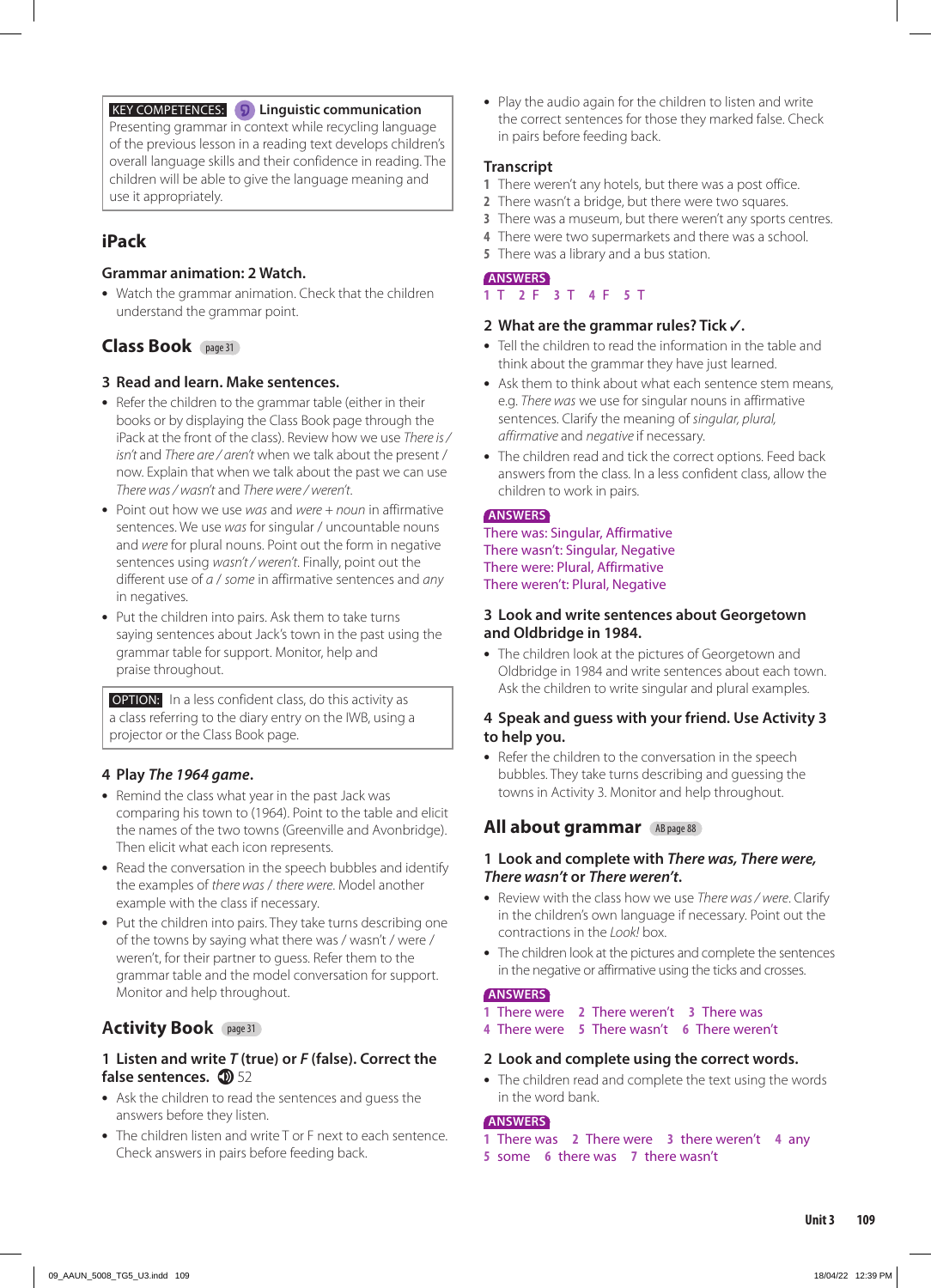#### KEY COMPETENCES: **Linguistic communication**

Presenting grammar in context while recycling language of the previous lesson in a reading text develops children's overall language skills and their confidence in reading. The children will be able to give the language meaning and use it appropriately.

# **iPack**

#### **Grammar animation: 2 Watch.**

**•** Watch the grammar animation. Check that the children understand the grammar point.

# **Class Book** page 31

#### **3 Read and learn. Make sentences.**

- **•** Refer the children to the grammar table (either in their books or by displaying the Class Book page through the iPack at the front of the class). Review how we use *There is / isn't* and *There are / aren't* when we talk about the present / now. Explain that when we talk about the past we can use *There was / wasn't* and *There were / weren't*.
- **•** Point out how we use *was* and *were + noun* in affirmative sentences. We use *was* for singular / uncountable nouns and *were* for plural nouns. Point out the form in negative sentences using *wasn't / weren't*. Finally, point out the different use of *a* / *some* in affirmative sentences and *any* in negatives.
- **•** Put the children into pairs. Ask them to take turns saying sentences about Jack's town in the past using the grammar table for support. Monitor, help and praise throughout.

 OPTION: In a less confident class, do this activity as a class referring to the diary entry on the IWB, using a projector or the Class Book page.

#### **4 Play** *The 1964 game***.**

- **•** Remind the class what year in the past Jack was comparing his town to (1964). Point to the table and elicit the names of the two towns (Greenville and Avonbridge). Then elicit what each icon represents.
- **•** Read the conversation in the speech bubbles and identify the examples of *there was* / *there were*. Model another example with the class if necessary.
- **•** Put the children into pairs. They take turns describing one of the towns by saying what there was / wasn't / were / weren't, for their partner to guess. Refer them to the grammar table and the model conversation for support. Monitor and help throughout.

# **Activity Book** page 31

#### **1 Listen and write** *T* **(true) or** *F* **(false). Correct the**  false sentences. **1**52

- **•** Ask the children to read the sentences and guess the answers before they listen.
- **•** The children listen and write T or F next to each sentence. Check answers in pairs before feeding back.

**•** Play the audio again for the children to listen and write the correct sentences for those they marked false. Check in pairs before feeding back.

#### **Transcript**

- **1** There weren't any hotels, but there was a post office.
- **2** There wasn't a bridge, but there were two squares.
- **3** There was a museum, but there weren't any sports centres.
- **4** There were two supermarkets and there was a school.
- **5** There was a library and a bus station.

#### **ANSWERS**

#### **1** T **2** F **3** T **4** F **5** T

#### **2 What are the grammar rules? Tick .**

- **•** Tell the children to read the information in the table and think about the grammar they have just learned.
- **•** Ask them to think about what each sentence stem means, e.g. *There was* we use for singular nouns in affirmative sentences. Clarify the meaning of *singular, plural, affirmative* and *negative* if necessary.
- **•** The children read and tick the correct options. Feed back answers from the class. In a less confident class, allow the children to work in pairs.

#### **ANSWERS**

There was: Singular, Affirmative There wasn't: Singular, Negative There were: Plural, Affirmative There weren't: Plural, Negative

#### **3 Look and write sentences about Georgetown and Oldbridge in 1984.**

**•** The children look at the pictures of Georgetown and Oldbridge in 1984 and write sentences about each town. Ask the children to write singular and plural examples.

#### **4 Speak and guess with your friend. Use Activity 3 to help you.**

**•** Refer the children to the conversation in the speech bubbles. They take turns describing and guessing the towns in Activity 3. Monitor and help throughout.

# **All about grammar** AB page 88

#### **1 Look and complete with** *There was, There were, There wasn't* **or** *There weren't***.**

- **•** Review with the class how we use *There was / were*. Clarify in the children's own language if necessary. Point out the contractions in the *Look!* box.
- **•** The children look at the pictures and complete the sentences in the negative or affirmative using the ticks and crosses.

#### **ANSWERS**

- **1** There were **2** There weren't **3** There was
- **4** There were **5** There wasn't **6** There weren't

#### **2 Look and complete using the correct words.**

**•** The children read and complete the text using the words in the word bank.

#### **ANSWERS**

- **1** There was **2** There were **3** there weren't **4** any
- **5** some **6** there was **7** there wasn't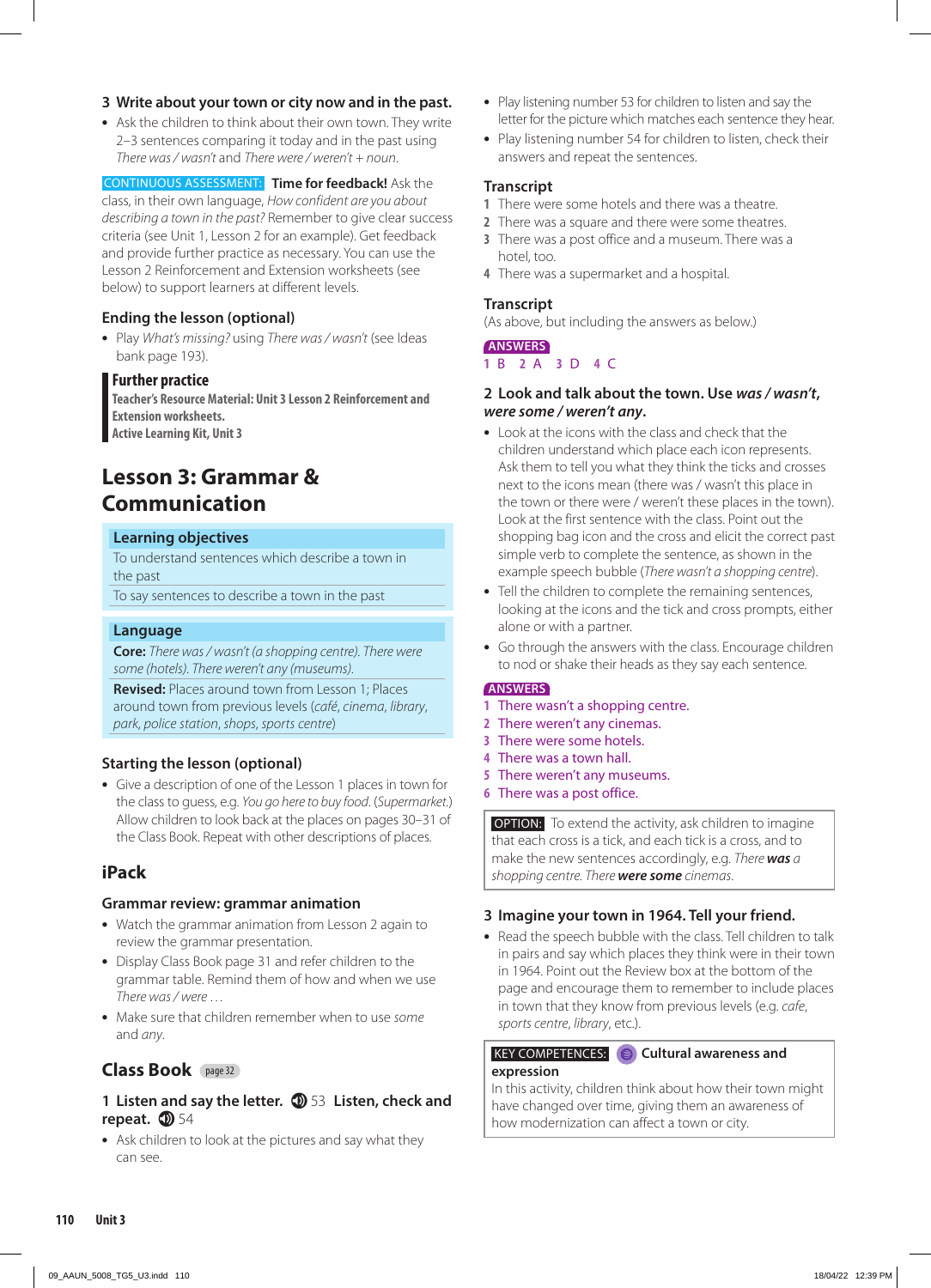#### **3 Write about your town or city now and in the past.**

**•** Ask the children to think about their own town. They write 2–3 sentences comparing it today and in the past using *There was / wasn't* and *There were / weren't + noun*.

#### CONTINUOUS ASSESSMENT: **Time for feedback!** Ask the

class, in their own language, *How confident are you about describing a town in the past?* Remember to give clear success criteria (see Unit 1, Lesson 2 for an example). Get feedback and provide further practice as necessary. You can use the Lesson 2 Reinforcement and Extension worksheets (see below) to support learners at different levels.

#### **Ending the lesson (optional)**

**•** Play *What's missing?* using *There was / wasn't* (see Ideas bank page 193).

#### **Further practice**

**Teacher's Resource Material: Unit 3 Lesson 2 Reinforcement and Extension worksheets. Active Learning Kit, Unit 3**

# **Lesson 3: Grammar & Communication**

#### **Learning objectives**

To understand sentences which describe a town in the past

To say sentences to describe a town in the past

#### **Language**

**Core:** *There was / wasn't (a shopping centre). There were some (hotels). There weren't any (museums).*

**Revised:** Places around town from Lesson 1; Places around town from previous levels (*café*, *cinema*, *library*, *park*, *police station*, *shops*, *sports centre*)

#### **Starting the lesson (optional)**

**•** Give a description of one of the Lesson 1 places in town for the class to guess, e.g. *You go here to buy food*. (*Supermarket.*) Allow children to look back at the places on pages 30–31 of the Class Book. Repeat with other descriptions of places.

# **iPack**

#### **Grammar review: grammar animation**

- **•** Watch the grammar animation from Lesson 2 again to review the grammar presentation.
- **•** Display Class Book page 31 and refer children to the grammar table. Remind them of how and when we use *There was / were …*
- **•** Make sure that children remember when to use *some* and *any*.

# **Class Book** page 32

#### **1** Listen and say the letter. **1** 53 Listen, check and **repeat. 1**54

**•** Ask children to look at the pictures and say what they can see.

- **•** Play listening number 53 for children to listen and say the letter for the picture which matches each sentence they hear.
- **•** Play listening number 54 for children to listen, check their answers and repeat the sentences.

#### **Transcript**

- **1** There were some hotels and there was a theatre.
- **2** There was a square and there were some theatres.
- **3** There was a post office and a museum. There was a hotel, too.
- **4** There was a supermarket and a hospital.

#### **Transcript**

(As above, but including the answers as below.)

#### **ANSWERS**

**1** B **2** A **3** D **4** C

#### **2 Look and talk about the town. Use** *was / wasn't***,**  *were some / weren't any***.**

- **•** Look at the icons with the class and check that the children understand which place each icon represents. Ask them to tell you what they think the ticks and crosses next to the icons mean (there was / wasn't this place in the town or there were / weren't these places in the town). Look at the first sentence with the class. Point out the shopping bag icon and the cross and elicit the correct past simple verb to complete the sentence, as shown in the example speech bubble (*There wasn't a shopping centre*).
- **•** Tell the children to complete the remaining sentences, looking at the icons and the tick and cross prompts, either alone or with a partner.
- **•** Go through the answers with the class. Encourage children to nod or shake their heads as they say each sentence.

#### **ANSWERS**

- **1** There wasn't a shopping centre.
- **2** There weren't any cinemas.
- **3** There were some hotels.
- **4** There was a town hall.
- **5** There weren't any museums.
- **6** There was a post office.

**OPTION:** To extend the activity, ask children to imagine that each cross is a tick, and each tick is a cross, and to make the new sentences accordingly, e.g. *There was a shopping centre. There were some cinemas*.

#### **3 Imagine your town in 1964. Tell your friend.**

**•** Read the speech bubble with the class. Tell children to talk in pairs and say which places they think were in their town in 1964. Point out the Review box at the bottom of the page and encourage them to remember to include places in town that they know from previous levels (e.g. *cafe*, *sports centre*, *library*, etc.).

#### KEY COMPETENCES: **Cultural awareness and expression**

In this activity, children think about how their town might have changed over time, giving them an awareness of how modernization can affect a town or city.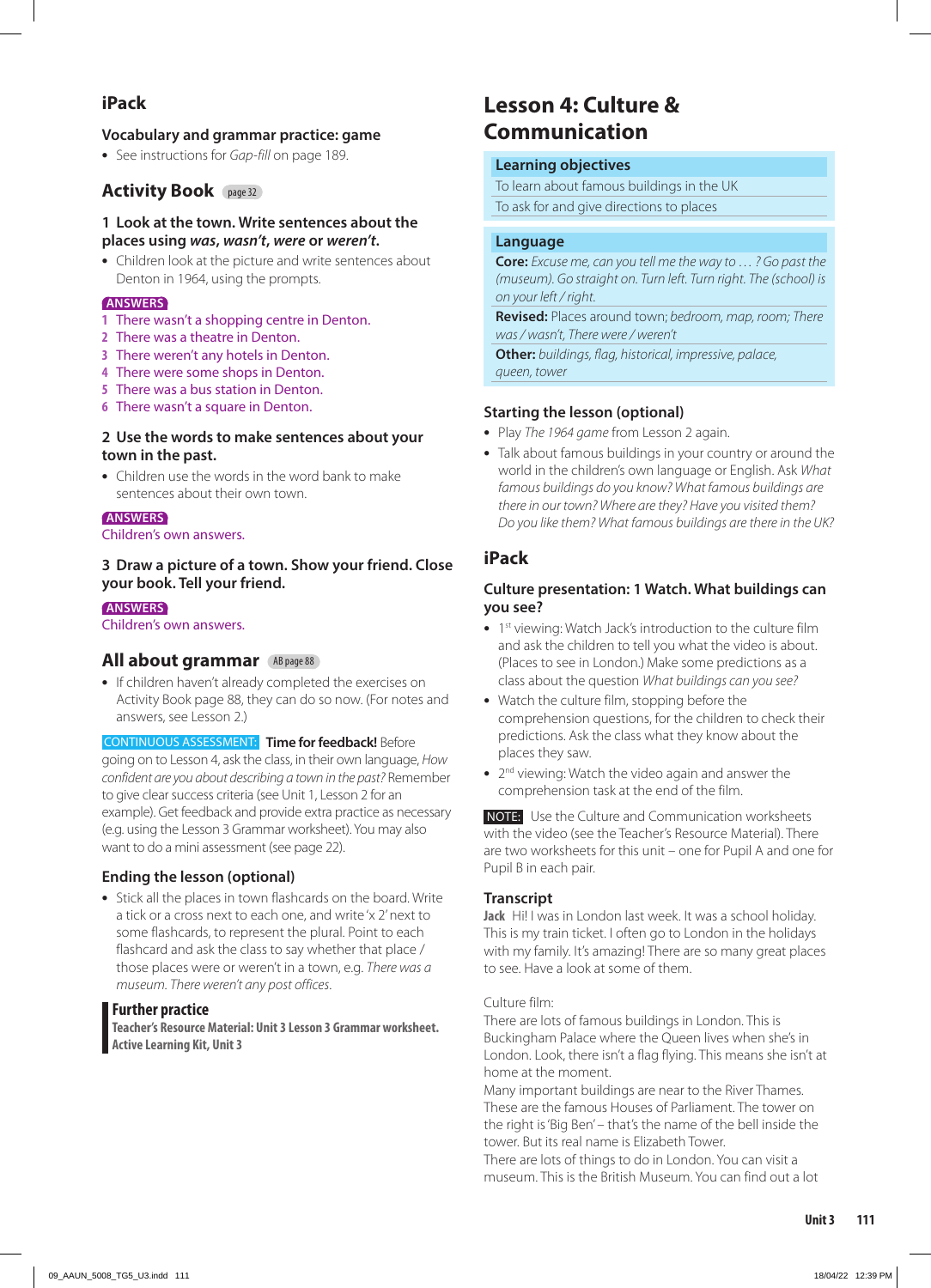# **iPack**

#### **Vocabulary and grammar practice: game**

**•** See instructions for *Gap-fill* on page 189.

# **Activity Book** page 32

#### **1 Look at the town. Write sentences about the places using** *was***,** *wasn't***,** *were* **or** *weren't***.**

**•** Children look at the picture and write sentences about Denton in 1964, using the prompts.

#### **ANSWERS**

- **1** There wasn't a shopping centre in Denton.
- **2** There was a theatre in Denton.
- **3** There weren't any hotels in Denton.
- **4** There were some shops in Denton.
- **5** There was a bus station in Denton.
- **6** There wasn't a square in Denton.

#### **2 Use the words to make sentences about your town in the past.**

**•** Children use the words in the word bank to make sentences about their own town.

#### **ANSWERS**

Children's own answers.

#### **3 Draw a picture of a town. Show your friend. Close your book. Tell your friend.**

#### **ANSWERS**

Children's own answers.

#### **All about grammar** AB page 88

**•** If children haven't already completed the exercises on Activity Book page 88, they can do so now. (For notes and answers, see Lesson 2.)

#### CONTINUOUS ASSESSMENT: **Time for feedback!** Before going on to Lesson 4, ask the class, in their own language, *How confident are you about describing a town in the past?* Remember to give clear success criteria (see Unit 1, Lesson 2 for an example). Get feedback and provide extra practice as necessary (e.g. using the Lesson 3 Grammar worksheet). You may also want to do a mini assessment (see page 22).

#### **Ending the lesson (optional)**

**•** Stick all the places in town flashcards on the board. Write a tick or a cross next to each one, and write 'x 2' next to some flashcards, to represent the plural. Point to each flashcard and ask the class to say whether that place / those places were or weren't in a town, e.g. *There was a museum. There weren't any post offices*.

### **Further practice**

**Teacher's Resource Material: Unit 3 Lesson 3 Grammar worksheet. Active Learning Kit, Unit 3**

# **Lesson 4: Culture & Communication**

#### **Learning objectives**

To learn about famous buildings in the UK To ask for and give directions to places

#### **Language**

**Core:** *Excuse me, can you tell me the way to … ? Go past the (museum). Go straight on. Turn left. Turn right. The (school) is on your left / right.*

**Revised:** Places around town; *bedroom, map, room; There was / wasn't, There were / weren't*

**Other:** *buildings, flag, historical, impressive, palace, queen, tower*

#### **Starting the lesson (optional)**

- **•** Play *The 1964 game* from Lesson 2 again.
- **•** Talk about famous buildings in your country or around the world in the children's own language or English. Ask *What famous buildings do you know? What famous buildings are there in our town? Where are they? Have you visited them? Do you like them? What famous buildings are there in the UK?*

# **iPack**

#### **Culture presentation: 1 Watch. What buildings can you see?**

- 1<sup>st</sup> viewing: Watch Jack's introduction to the culture film and ask the children to tell you what the video is about. (Places to see in London.) Make some predictions as a class about the question *What buildings can you see?*
- **•** Watch the culture film, stopping before the comprehension questions, for the children to check their predictions. Ask the class what they know about the places they saw.
- **•** 2nd viewing: Watch the video again and answer the comprehension task at the end of the film.

 NOTE: Use the Culture and Communication worksheets with the video (see the Teacher's Resource Material). There are two worksheets for this unit – one for Pupil A and one for Pupil B in each pair.

#### **Transcript**

**Jack** Hi! I was in London last week. It was a school holiday. This is my train ticket. I often go to London in the holidays with my family. It's amazing! There are so many great places to see. Have a look at some of them.

#### Culture film:

There are lots of famous buildings in London. This is Buckingham Palace where the Queen lives when she's in London. Look, there isn't a flag flying. This means she isn't at home at the moment.

Many important buildings are near to the River Thames. These are the famous Houses of Parliament. The tower on the right is 'Big Ben' – that's the name of the bell inside the tower. But its real name is Elizabeth Tower.

There are lots of things to do in London. You can visit a museum. This is the British Museum. You can find out a lot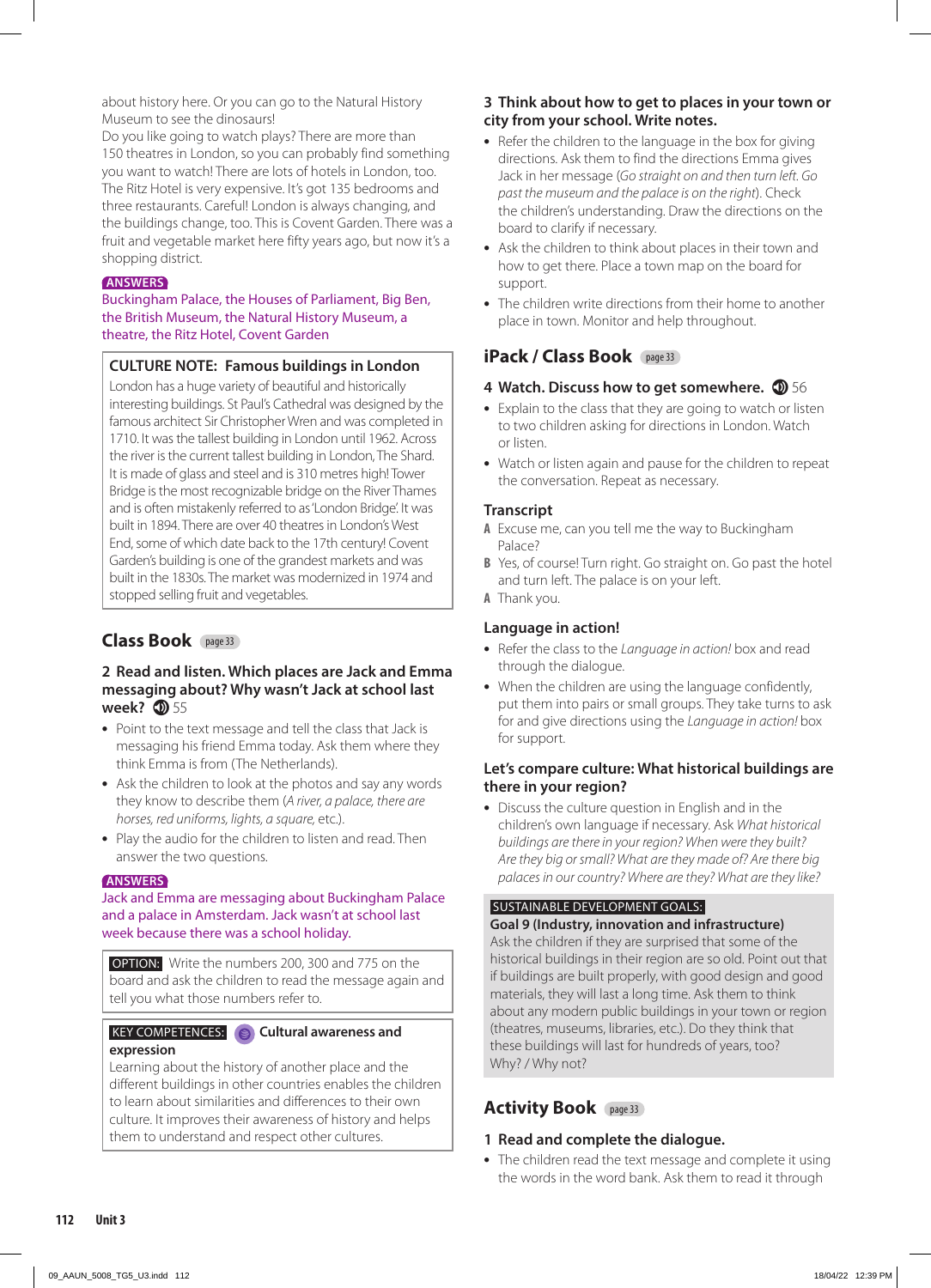about history here. Or you can go to the Natural History Museum to see the dinosaurs!

Do you like going to watch plays? There are more than 150 theatres in London, so you can probably find something you want to watch! There are lots of hotels in London, too. The Ritz Hotel is very expensive. It's got 135 bedrooms and three restaurants. Careful! London is always changing, and the buildings change, too. This is Covent Garden. There was a fruit and vegetable market here fifty years ago, but now it's a shopping district.

#### **ANSWERS**

Buckingham Palace, the Houses of Parliament, Big Ben, the British Museum, the Natural History Museum, a theatre, the Ritz Hotel, Covent Garden

# **CULTURE NOTE: Famous buildings in London**

London has a huge variety of beautiful and historically interesting buildings. St Paul's Cathedral was designed by the famous architect Sir Christopher Wren and was completed in 1710. It was the tallest building in London until 1962. Across the river is the current tallest building in London, The Shard. It is made of glass and steel and is 310 metres high! Tower Bridge is the most recognizable bridge on the River Thames and is often mistakenly referred to as 'London Bridge'. It was built in 1894. There are over 40 theatres in London's West End, some of which date back to the 17th century! Covent Garden's building is one of the grandest markets and was built in the 1830s. The market was modernized in 1974 and stopped selling fruit and vegetables.

# **Class Book** page 33

#### **2 Read and listen. Which places are Jack and Emma messaging about? Why wasn't Jack at school last week? <b>D** 55

- **•** Point to the text message and tell the class that Jack is messaging his friend Emma today. Ask them where they think Emma is from (The Netherlands).
- **•** Ask the children to look at the photos and say any words they know to describe them (*A river, a palace, there are horses, red uniforms, lights, a square,* etc.).
- **•** Play the audio for the children to listen and read. Then answer the two questions.

#### **ANSWERS**

Jack and Emma are messaging about Buckingham Palace and a palace in Amsterdam. Jack wasn't at school last week because there was a school holiday.

 OPTION: Write the numbers 200, 300 and 775 on the board and ask the children to read the message again and tell you what those numbers refer to.

#### KEY COMPETENCES: **Cultural awareness and expression**

Learning about the history of another place and the different buildings in other countries enables the children to learn about similarities and differences to their own culture. It improves their awareness of history and helps them to understand and respect other cultures.

#### **3 Think about how to get to places in your town or city from your school. Write notes.**

- **•** Refer the children to the language in the box for giving directions. Ask them to find the directions Emma gives Jack in her message (*Go straight on and then turn left. Go past the museum and the palace is on the right*). Check the children's understanding. Draw the directions on the board to clarify if necessary.
- **•** Ask the children to think about places in their town and how to get there. Place a town map on the board for support.
- **•** The children write directions from their home to another place in town. Monitor and help throughout.

# **iPack / Class Book** page 33

#### **4** Watch. Discuss how to get somewhere.  $\bullet$  56

- **•** Explain to the class that they are going to watch or listen to two children asking for directions in London. Watch or listen.
- **•** Watch or listen again and pause for the children to repeat the conversation. Repeat as necessary.

#### **Transcript**

- **A** Excuse me, can you tell me the way to Buckingham Palace?
- **B** Yes, of course! Turn right. Go straight on. Go past the hotel and turn left. The palace is on your left.
- **A** Thank you.

#### **Language in action!**

- **•** Refer the class to the *Language in action!* box and read through the dialogue.
- **•** When the children are using the language confidently, put them into pairs or small groups. They take turns to ask for and give directions using the *Language in action!* box for support.

#### **Let's compare culture: What historical buildings are there in your region?**

**•** Discuss the culture question in English and in the children's own language if necessary. Ask *What historical buildings are there in your region? When were they built? Are they big or small? What are they made of? Are there big palaces in our country? Where are they? What are they like?*

# SUSTAINABLE DEVELOPMENT GOALS:

**Goal 9 (Industry, innovation and infrastructure)**

Ask the children if they are surprised that some of the historical buildings in their region are so old. Point out that if buildings are built properly, with good design and good materials, they will last a long time. Ask them to think about any modern public buildings in your town or region (theatres, museums, libraries, etc.). Do they think that these buildings will last for hundreds of years, too? Why? / Why not?

# **Activity Book** page 33

#### **1 Read and complete the dialogue.**

**•** The children read the text message and complete it using the words in the word bank. Ask them to read it through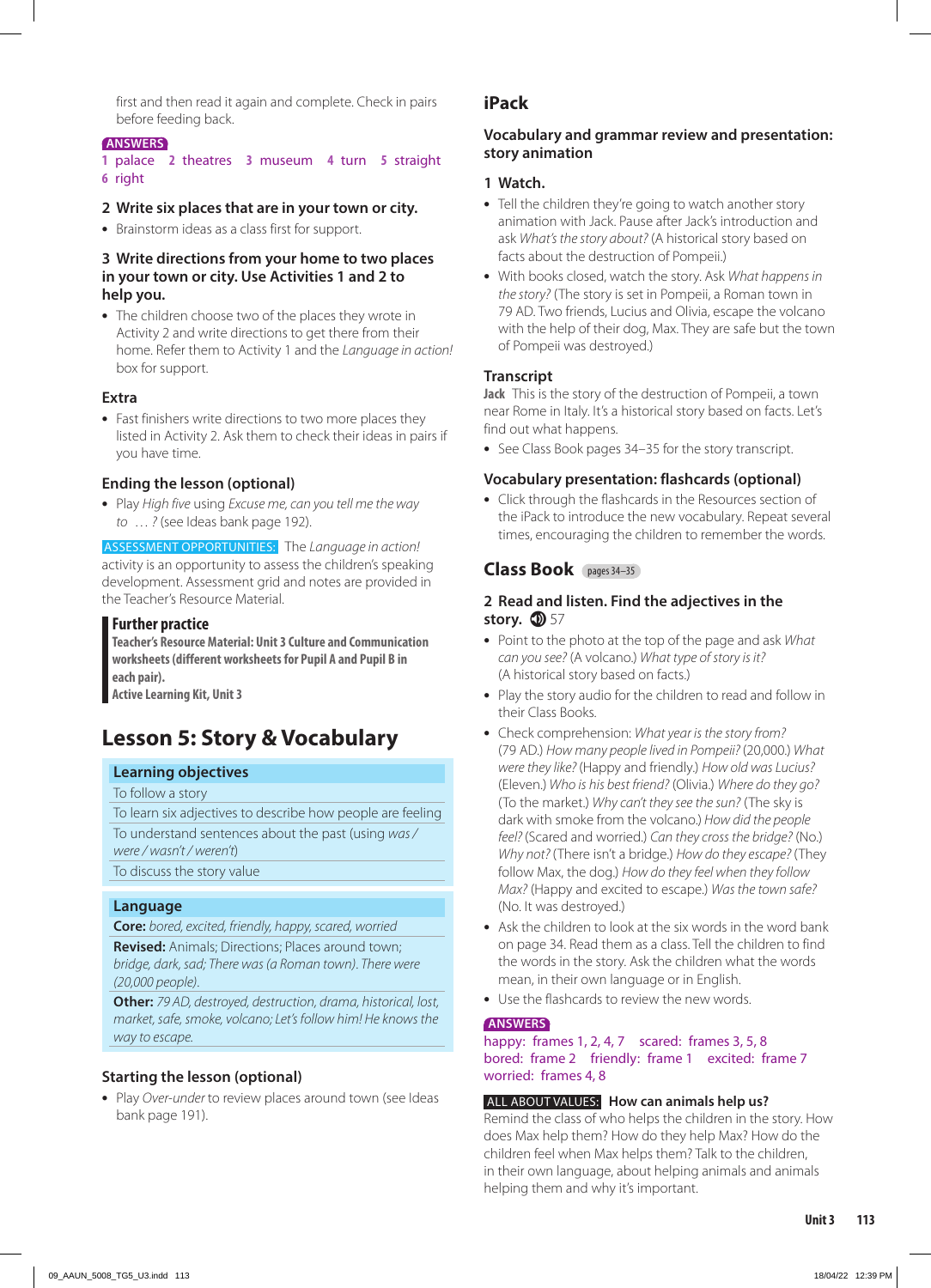first and then read it again and complete. Check in pairs before feeding back.

#### **ANSWERS**

**1** palace **2** theatres **3** museum **4** turn **5** straight **6** right

#### **2 Write six places that are in your town or city.**

**•** Brainstorm ideas as a class first for support.

#### **3 Write directions from your home to two places in your town or city. Use Activities 1 and 2 to help you.**

**•** The children choose two of the places they wrote in Activity 2 and write directions to get there from their home. Refer them to Activity 1 and the *Language in action!* box for support.

#### **Extra**

**•** Fast finishers write directions to two more places they listed in Activity 2. Ask them to check their ideas in pairs if you have time.

#### **Ending the lesson (optional)**

**•** Play *High five* using *Excuse me, can you tell me the way to … ?* (see Ideas bank page 192).

ASSESSMENT OPPORTUNITIES: The *Language in action!* activity is an opportunity to assess the children's speaking development. Assessment grid and notes are provided in the Teacher's Resource Material.

#### **Further practice**

**Teacher's Resource Material: Unit 3 Culture and Communication worksheets (different worksheets for Pupil A and Pupil B in each pair).**

**Active Learning Kit, Unit 3**

# **Lesson 5: Story & Vocabulary**

#### **Learning objectives**

To follow a story

To learn six adjectives to describe how people are feeling

To understand sentences about the past (using *was /* 

*were / wasn't / weren't*)

To discuss the story value

#### **Language**

**Core:** *bored, excited, friendly, happy, scared, worried*

**Revised:** Animals; Directions; Places around town; *bridge, dark, sad; There was (a Roman town)*. *There were (20,000 people)*.

**Other:** *79 AD, destroyed, destruction, drama, historical, lost, market, safe, smoke, volcano; Let's follow him! He knows the way to escape.*

#### **Starting the lesson (optional)**

**•** Play *Over-under* to review places around town (see Ideas bank page 191).

### **iPack**

#### **Vocabulary and grammar review and presentation: story animation**

#### **1 Watch.**

- **•** Tell the children they're going to watch another story animation with Jack. Pause after Jack's introduction and ask *What's the story about?* (A historical story based on facts about the destruction of Pompeii.)
- **•** With books closed, watch the story. Ask *What happens in the story?* (The story is set in Pompeii, a Roman town in 79 AD. Two friends, Lucius and Olivia, escape the volcano with the help of their dog, Max. They are safe but the town of Pompeii was destroyed.)

#### **Transcript**

**Jack** This is the story of the destruction of Pompeii, a town near Rome in Italy. It's a historical story based on facts. Let's find out what happens.

**•** See Class Book pages 34–35 for the story transcript.

#### **Vocabulary presentation: flashcards (optional)**

**•** Click through the flashcards in the Resources section of the iPack to introduce the new vocabulary. Repeat several times, encouraging the children to remember the words.

# **Class Book** pages 34–35

#### **2 Read and listen. Find the adjectives in the**  story. **1**57

- **•** Point to the photo at the top of the page and ask *What can you see?* (A volcano.) *What type of story is it?* (A historical story based on facts.)
- **•** Play the story audio for the children to read and follow in their Class Books.
- **•** Check comprehension: *What year is the story from?* (79 AD.) *How many people lived in Pompeii?* (20,000.) *What were they like?* (Happy and friendly.) *How old was Lucius?*  (Eleven.) *Who is his best friend?* (Olivia.) *Where do they go?* (To the market.) *Why can't they see the sun?* (The sky is dark with smoke from the volcano.) *How did the people feel?* (Scared and worried.) *Can they cross the bridge?* (No.) *Why not?* (There isn't a bridge.) *How do they escape?* (They follow Max, the dog.) *How do they feel when they follow Max?* (Happy and excited to escape.) *Was the town safe?* (No. It was destroyed.)
- **•** Ask the children to look at the six words in the word bank on page 34. Read them as a class. Tell the children to find the words in the story. Ask the children what the words mean, in their own language or in English.
- **•** Use the flashcards to review the new words.

#### **ANSWERS**

happy: frames 1, 2, 4, 7 scared: frames 3, 5, 8 bored: frame 2 friendly: frame 1 excited: frame 7 worried: frames 4, 8

#### ALL ABOUT VALUES: **How can animals help us?**

Remind the class of who helps the children in the story. How does Max help them? How do they help Max? How do the children feel when Max helps them? Talk to the children, in their own language, about helping animals and animals helping them and why it's important.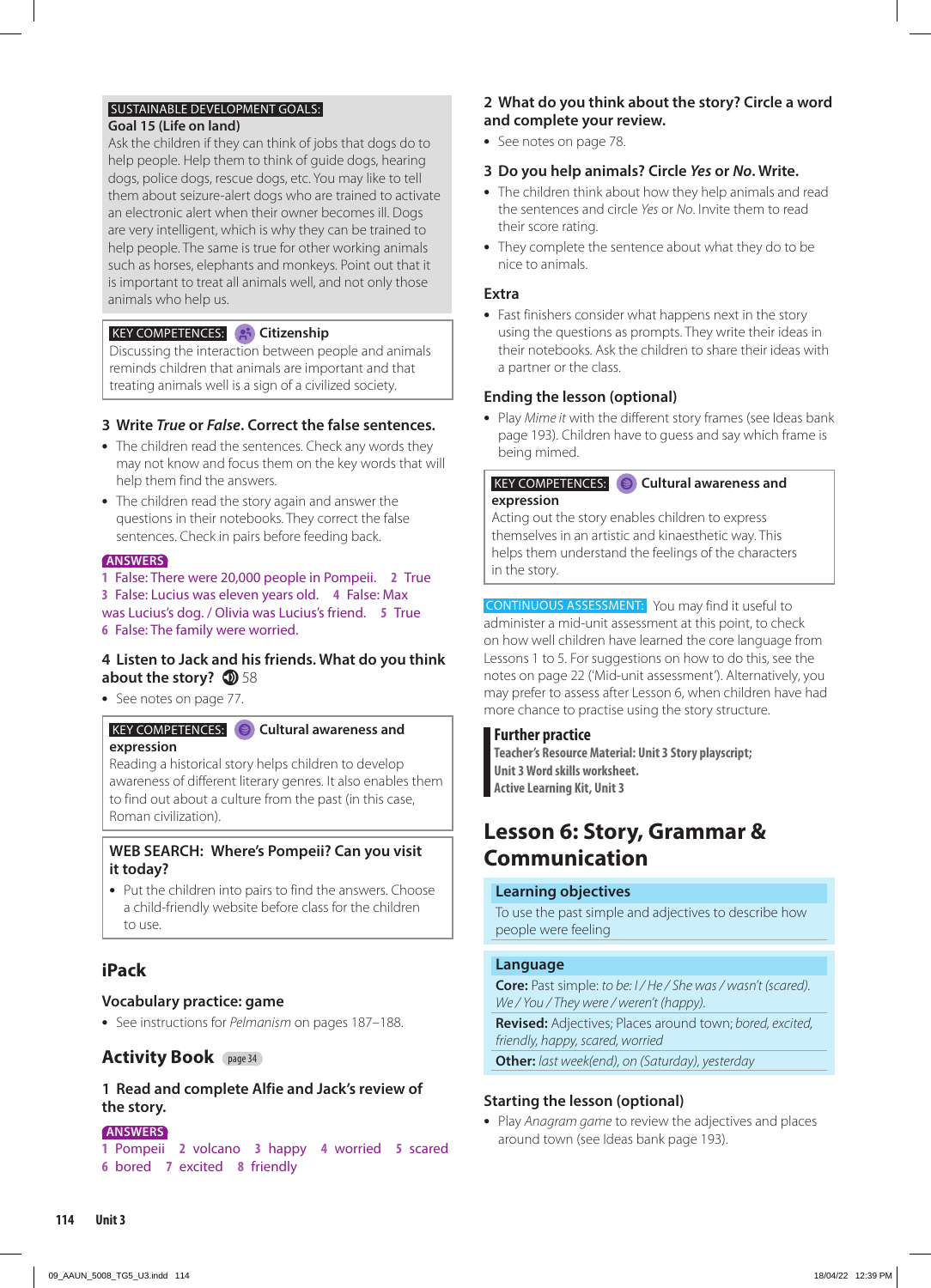#### SUSTAINABLE DEVELOPMENT GOALS:

#### **Goal 15 (Life on land)**

Ask the children if they can think of jobs that dogs do to help people. Help them to think of guide dogs, hearing dogs, police dogs, rescue dogs, etc. You may like to tell them about seizure-alert dogs who are trained to activate an electronic alert when their owner becomes ill. Dogs are very intelligent, which is why they can be trained to help people. The same is true for other working animals such as horses, elephants and monkeys. Point out that it is important to treat all animals well, and not only those animals who help us.

#### KEY COMPETENCES: **Citizenship**

Discussing the interaction between people and animals reminds children that animals are important and that treating animals well is a sign of a civilized society.

#### **3 Write** *True* **or** *False***. Correct the false sentences.**

- **•** The children read the sentences. Check any words they may not know and focus them on the key words that will help them find the answers.
- **•** The children read the story again and answer the questions in their notebooks. They correct the false sentences. Check in pairs before feeding back.

#### **ANSWERS**

 False: There were 20,000 people in Pompeii. **2** True False: Lucius was eleven years old. **4** False: Max was Lucius's dog. / Olivia was Lucius's friend. **5** True False: The family were worried.

#### **4 Listen to Jack and his friends. What do you think about the story? 1**58

**•** See notes on page 77.

#### KEY COMPETENCES: **Cultural awareness and**

#### **expression**

Reading a historical story helps children to develop awareness of different literary genres. It also enables them to find out about a culture from the past (in this case, Roman civilization).

#### **WEB SEARCH: Where's Pompeii? Can you visit it today?**

**•** Put the children into pairs to find the answers. Choose a child-friendly website before class for the children to use.

# **iPack**

#### **Vocabulary practice: game**

**•** See instructions for *Pelmanism* on pages 187–188.

# **Activity Book** page 34

#### **1 Read and complete Alfie and Jack's review of the story.**

#### **ANSWERS**

**1** Pompeii **2** volcano **3** happy **4** worried **5** scared **6** bored **7** excited **8** friendly

#### **2 What do you think about the story? Circle a word and complete your review.**

- **•** See notes on page 78.
- **3 Do you help animals? Circle** *Yes* **or** *No***. Write.**
- **•** The children think about how they help animals and read the sentences and circle *Yes* or *No*. Invite them to read their score rating.
- **•** They complete the sentence about what they do to be nice to animals.

#### **Extra**

**•** Fast finishers consider what happens next in the story using the questions as prompts. They write their ideas in their notebooks. Ask the children to share their ideas with a partner or the class.

#### **Ending the lesson (optional)**

**•** Play *Mime it* with the different story frames (see Ideas bank page 193). Children have to guess and say which frame is being mimed.

 KEY COMPETENCES: **Cultural awareness and expression**

Acting out the story enables children to express themselves in an artistic and kinaesthetic way. This helps them understand the feelings of the characters in the story.

CONTINUOUS ASSESSMENT: You may find it useful to administer a mid-unit assessment at this point, to check on how well children have learned the core language from Lessons 1 to 5. For suggestions on how to do this, see the notes on page 22 ('Mid-unit assessment'). Alternatively, you may prefer to assess after Lesson 6, when children have had more chance to practise using the story structure.

### **Further practice**

**Teacher's Resource Material: Unit 3 Story playscript; Unit 3 Word skills worksheet. Active Learning Kit, Unit 3**

# **Lesson 6: Story, Grammar & Communication**

#### **Learning objectives**

To use the past simple and adjectives to describe how people were feeling

#### **Language**

**Core:** Past simple: *to be: I / He / She was / wasn't (scared). We / You / They were / weren't (happy).*

**Revised:** Adjectives; Places around town; *bored, excited, friendly, happy, scared, worried*

**Other:** *last week(end), on (Saturday), yesterday*

#### **Starting the lesson (optional)**

**•** Play *Anagram game* to review the adjectives and places around town (see Ideas bank page 193).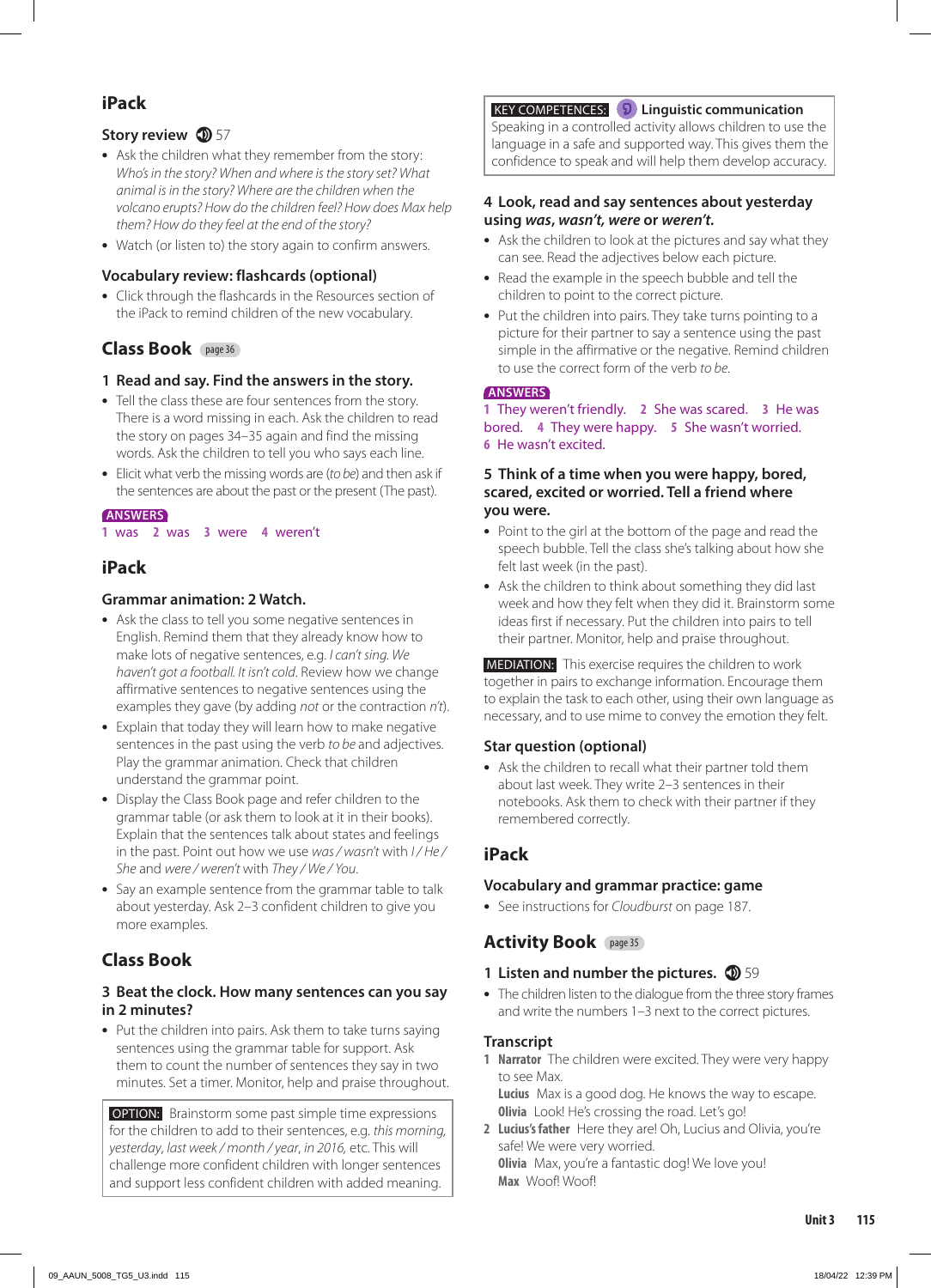# **iPack**

# **Story review 157**

- **•** Ask the children what they remember from the story: *Who's in the story? When and where is the story set? What animal is in the story? Where are the children when the volcano erupts? How do the children feel? How does Max help them? How do they feel at the end of the story?*
- **•** Watch (or listen to) the story again to confirm answers.

#### **Vocabulary review: flashcards (optional)**

**•** Click through the flashcards in the Resources section of the iPack to remind children of the new vocabulary.

# **Class Book** page 36

#### **1 Read and say. Find the answers in the story.**

- **•** Tell the class these are four sentences from the story. There is a word missing in each. Ask the children to read the story on pages 34–35 again and find the missing words. Ask the children to tell you who says each line.
- **•** Elicit what verb the missing words are (*to be*) and then ask if the sentences are about the past or the present (The past).

#### **ANSWERS**

**1** was **2** was **3** were **4** weren't

# **iPack**

#### **Grammar animation: 2 Watch.**

- **•** Ask the class to tell you some negative sentences in English. Remind them that they already know how to make lots of negative sentences, e.g. *I can't sing. We haven't got a football. It isn't cold*. Review how we change affirmative sentences to negative sentences using the examples they gave (by adding *not* or the contraction *n't*).
- **•** Explain that today they will learn how to make negative sentences in the past using the verb *to be* and adjectives. Play the grammar animation. Check that children understand the grammar point.
- **•** Display the Class Book page and refer children to the grammar table (or ask them to look at it in their books). Explain that the sentences talk about states and feelings in the past. Point out how we use *was / wasn't* with *I / He / She* and *were / weren't* with *They / We / You*.
- **•** Say an example sentence from the grammar table to talk about yesterday. Ask 2–3 confident children to give you more examples.

# **Class Book**

#### **3 Beat the clock. How many sentences can you say in 2 minutes?**

**•** Put the children into pairs. Ask them to take turns saying sentences using the grammar table for support. Ask them to count the number of sentences they say in two minutes. Set a timer. Monitor, help and praise throughout.

 OPTION: Brainstorm some past simple time expressions for the children to add to their sentences, e.g. *this morning, yesterday*, *last week / month / year*, *in 2016,* etc. This will challenge more confident children with longer sentences and support less confident children with added meaning.

#### KEY COMPETENCES: **Linguistic communication**

Speaking in a controlled activity allows children to use the language in a safe and supported way. This gives them the confidence to speak and will help them develop accuracy.

#### **4 Look, read and say sentences about yesterday using** *was***,** *wasn't, were* **or** *weren't.*

- **•** Ask the children to look at the pictures and say what they can see. Read the adjectives below each picture.
- **•** Read the example in the speech bubble and tell the children to point to the correct picture.
- **•** Put the children into pairs. They take turns pointing to a picture for their partner to say a sentence using the past simple in the affirmative or the negative. Remind children to use the correct form of the verb *to be*.

#### **ANSWERS**

**1** They weren't friendly. **2** She was scared. **3** He was bored. **4** They were happy. **5** She wasn't worried. **6** He wasn't excited.

#### **5 Think of a time when you were happy, bored, scared, excited or worried. Tell a friend where you were.**

- **•** Point to the girl at the bottom of the page and read the speech bubble. Tell the class she's talking about how she felt last week (in the past).
- **•** Ask the children to think about something they did last week and how they felt when they did it. Brainstorm some ideas first if necessary. Put the children into pairs to tell their partner. Monitor, help and praise throughout.

 MEDIATION: This exercise requires the children to work together in pairs to exchange information. Encourage them to explain the task to each other, using their own language as necessary, and to use mime to convey the emotion they felt.

#### **Star question (optional)**

**•** Ask the children to recall what their partner told them about last week. They write 2–3 sentences in their notebooks. Ask them to check with their partner if they remembered correctly.

# **iPack**

#### **Vocabulary and grammar practice: game**

**•** See instructions for *Cloudburst* on page 187.

# **Activity Book** page 35

#### **1 Listen and number the pictures. 1** 59

**•** The children listen to the dialogue from the three story frames and write the numbers 1–3 next to the correct pictures.

# **Transcript**

**1 Narrator** The children were excited. They were very happy to see Max.

**Lucius** Max is a good dog. He knows the way to escape. **Olivia** Look! He's crossing the road. Let's go!

**2 Lucius's father** Here they are! Oh, Lucius and Olivia, you're safe! We were very worried. **Olivia** Max, you're a fantastic dog! We love you! **Max** Woof! Woof!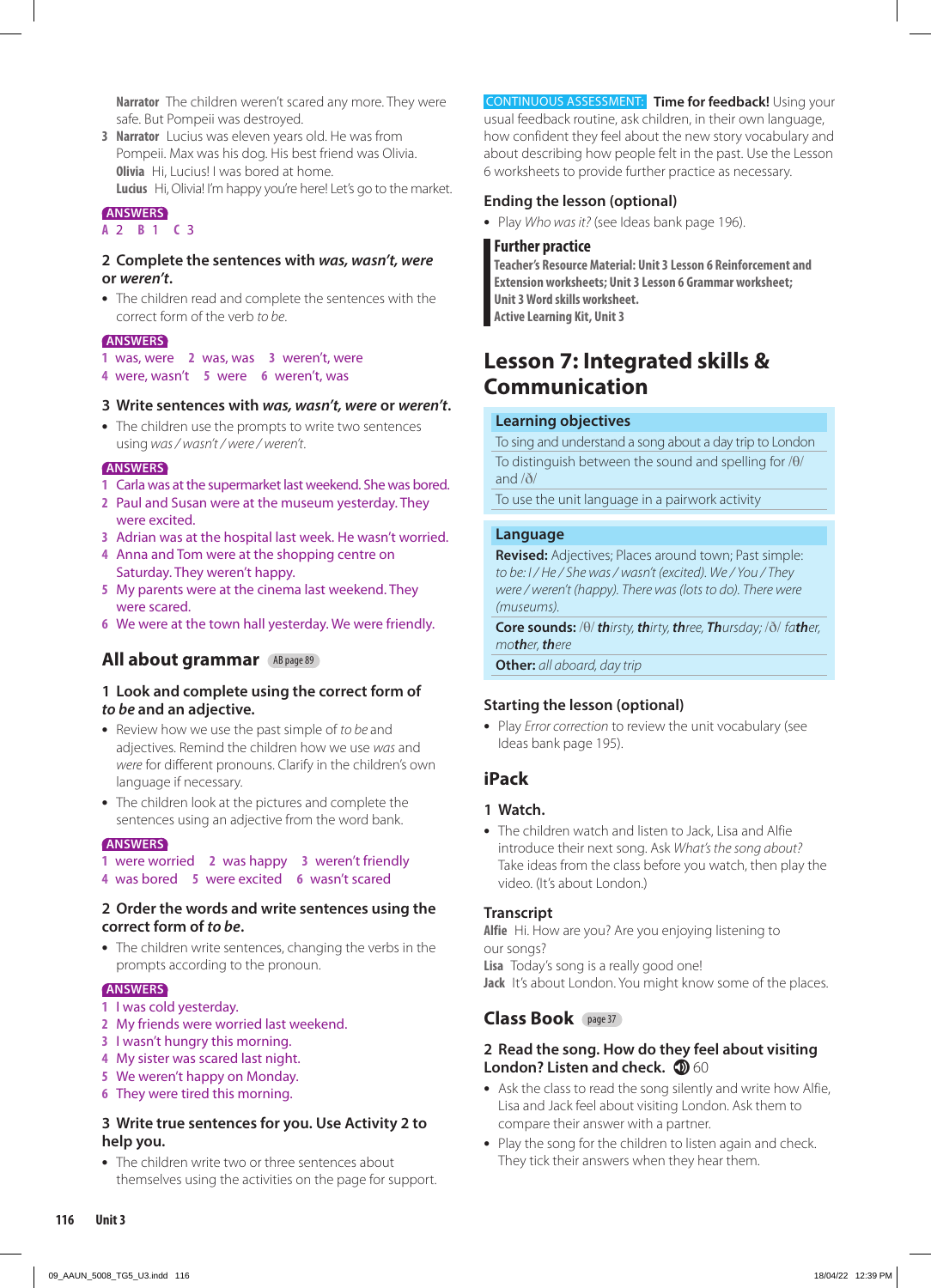**Narrator** The children weren't scared any more. They were safe. But Pompeii was destroyed.

**3 Narrator** Lucius was eleven years old. He was from Pompeii. Max was his dog. His best friend was Olivia. **Olivia** Hi, Lucius! I was bored at home. **Lucius** Hi, Olivia! I'm happy you're here! Let's go to the market.

**ANSWERS**

#### **A** 2 **B** 1 **C** 3

#### **2 Complete the sentences with** *was, wasn't, were* **or** *weren't***.**

**•** The children read and complete the sentences with the correct form of the verb *to be*.

#### **ANSWERS**

- **1** was, were **2** was, was **3** weren't, were
- **4** were, wasn't **5** were **6** weren't, was

#### **3 Write sentences with** *was, wasn't, were* **or** *weren't***.**

**•** The children use the prompts to write two sentences using *was / wasn't / were / weren't*.

#### **ANSWERS**

- **1** Carla was at the supermarket last weekend. She was bored.
- **2** Paul and Susan were at the museum yesterday. They were excited.
- **3** Adrian was at the hospital last week. He wasn't worried.
- **4** Anna and Tom were at the shopping centre on Saturday. They weren't happy.
- **5** My parents were at the cinema last weekend. They were scared.
- **6** We were at the town hall yesterday. We were friendly.

# **All about grammar** AB page 89

#### **1 Look and complete using the correct form of**  *to be* **and an adjective.**

- **•** Review how we use the past simple of *to be* and adjectives. Remind the children how we use *was* and *were* for different pronouns. Clarify in the children's own language if necessary.
- **•** The children look at the pictures and complete the sentences using an adjective from the word bank.

#### **ANSWERS**

**1** were worried **2** was happy **3** weren't friendly **4** was bored **5** were excited **6** wasn't scared

#### **2 Order the words and write sentences using the correct form of** *to be***.**

**•** The children write sentences, changing the verbs in the prompts according to the pronoun.

#### **ANSWERS**

- **1** I was cold yesterday.
- **2** My friends were worried last weekend.
- **3** I wasn't hungry this morning.
- **4** My sister was scared last night.
- **5** We weren't happy on Monday.
- **6** They were tired this morning.

#### **3 Write true sentences for you. Use Activity 2 to help you.**

**•** The children write two or three sentences about themselves using the activities on the page for support.

CONTINUOUS ASSESSMENT: **Time for feedback!** Using your usual feedback routine, ask children, in their own language, how confident they feel about the new story vocabulary and about describing how people felt in the past. Use the Lesson 6 worksheets to provide further practice as necessary.

#### **Ending the lesson (optional)**

**•** Play *Who was it?* (see Ideas bank page 196).

#### **Further practice**

**Teacher's Resource Material: Unit 3 Lesson 6 Reinforcement and Extension worksheets; Unit 3 Lesson 6 Grammar worksheet; Unit 3 Word skills worksheet. Active Learning Kit, Unit 3**

# **Lesson 7: Integrated skills & Communication**

#### **Learning objectives**

To sing and understand a song about a day trip to London To distinguish between the sound and spelling for /θ/ and /ð/

To use the unit language in a pairwork activity

#### **Language**

**Revised:** Adjectives; Places around town; Past simple: *to be: I / He / She was / wasn't (excited). We / You / They were / weren't (happy). There was (lots to do). There were (museums).*

**Core sounds:** /θ/ *thirsty, thirty, three, Thursday;* /ð/ *father, mother, there*

**Other:** *all aboard, day trip* 

#### **Starting the lesson (optional)**

**•** Play *Error correction* to review the unit vocabulary (see Ideas bank page 195).

# **iPack**

#### **1 Watch.**

**•** The children watch and listen to Jack, Lisa and Alfie introduce their next song. Ask *What's the song about?* Take ideas from the class before you watch, then play the video. (It's about London.)

#### **Transcript**

**Alfie** Hi. How are you? Are you enjoying listening to our songs?

**Lisa** Today's song is a really good one! **Jack** It's about London. You might know some of the places.

# **Class Book** page 37

#### **2 Read the song. How do they feel about visiting London? Listen and check.**  $\mathbf{\mathcal{D}}$  60

- **•** Ask the class to read the song silently and write how Alfie, Lisa and Jack feel about visiting London. Ask them to compare their answer with a partner.
- **•** Play the song for the children to listen again and check. They tick their answers when they hear them.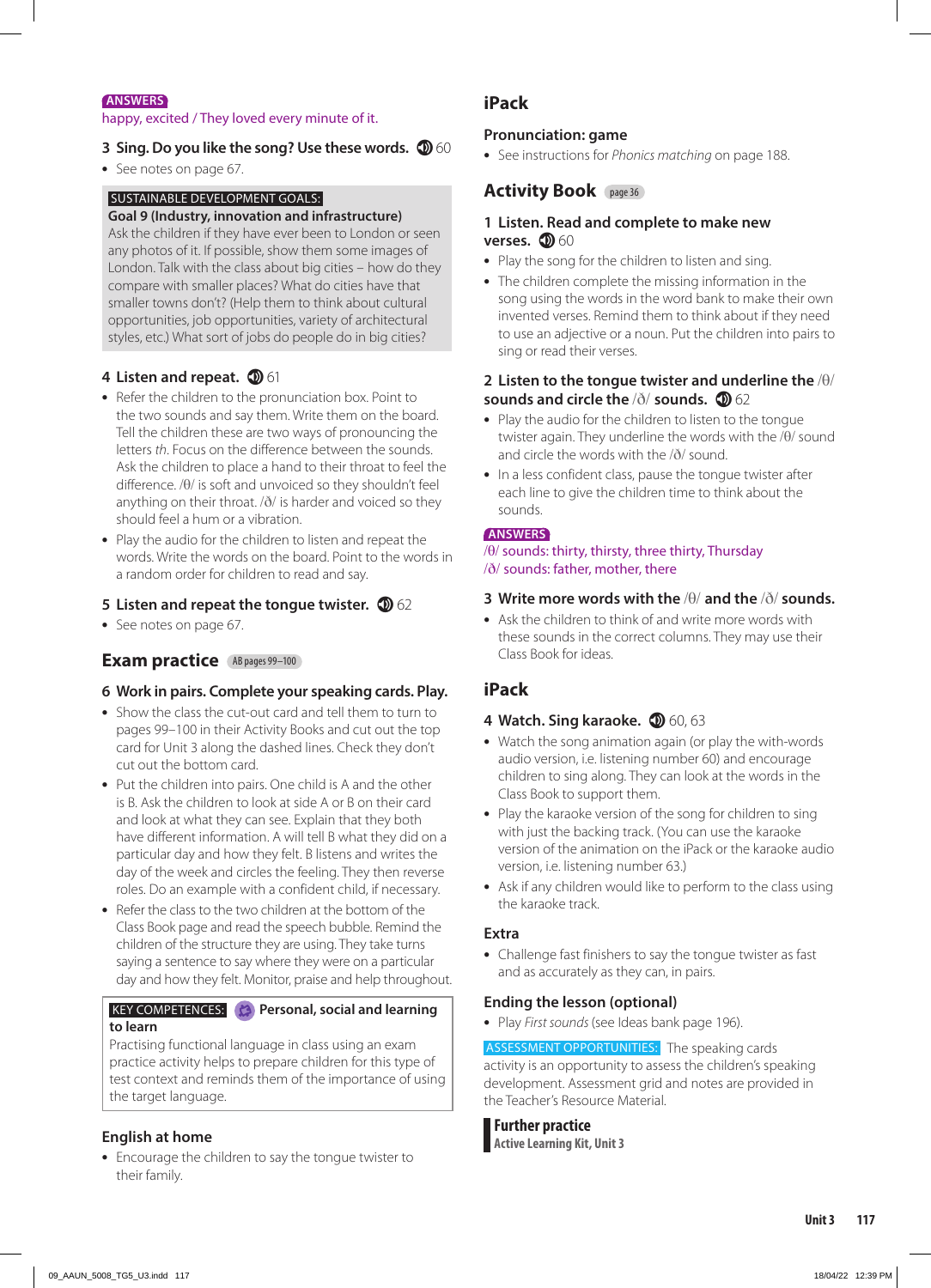#### **ANSWERS**

happy, excited / They loved every minute of it.

#### **3** Sing. Do you like the song? Use these words.  $\mathbf{\mathcal{D}}$  60

**•** See notes on page 67.

#### SUSTAINABLE DEVELOPMENT GOALS:

**Goal 9 (Industry, innovation and infrastructure)** 

Ask the children if they have ever been to London or seen any photos of it. If possible, show them some images of London. Talk with the class about big cities – how do they compare with smaller places? What do cities have that smaller towns don't? (Help them to think about cultural opportunities, job opportunities, variety of architectural styles, etc.) What sort of jobs do people do in big cities?

#### **4 Listen and repeat.**  $\Phi$  61

- **•** Refer the children to the pronunciation box. Point to the two sounds and say them. Write them on the board. Tell the children these are two ways of pronouncing the letters *th*. Focus on the difference between the sounds. Ask the children to place a hand to their throat to feel the difference. /θ/ is soft and unvoiced so they shouldn't feel anything on their throat.  $\delta/$  is harder and voiced so they should feel a hum or a vibration.
- **•** Play the audio for the children to listen and repeat the words. Write the words on the board. Point to the words in a random order for children to read and say.

#### **5** Listen and repeat the tongue twister.  $\mathbf{\mathcal{D}}$  62

**•** See notes on page 67.

#### **Exam practice** AB pages 99-100

#### **6 Work in pairs. Complete your speaking cards. Play.**

- **•** Show the class the cut-out card and tell them to turn to pages 99–100 in their Activity Books and cut out the top card for Unit 3 along the dashed lines. Check they don't cut out the bottom card.
- **•** Put the children into pairs. One child is A and the other is B. Ask the children to look at side A or B on their card and look at what they can see. Explain that they both have different information. A will tell B what they did on a particular day and how they felt. B listens and writes the day of the week and circles the feeling. They then reverse roles. Do an example with a confident child, if necessary.
- **•** Refer the class to the two children at the bottom of the Class Book page and read the speech bubble. Remind the children of the structure they are using. They take turns saying a sentence to say where they were on a particular day and how they felt. Monitor, praise and help throughout.

#### **KEY COMPETENCES: Personal, social and learning to learn**

Practising functional language in class using an exam practice activity helps to prepare children for this type of test context and reminds them of the importance of using the target language.

#### **English at home**

**•** Encourage the children to say the tongue twister to their family.

# **iPack**

#### **Pronunciation: game**

**•** See instructions for *Phonics matching* on page 188.

#### **Activity Book** page 36

#### **1 Listen. Read and complete to make new verses. <b>D** 60

- **•** Play the song for the children to listen and sing.
- **•** The children complete the missing information in the song using the words in the word bank to make their own invented verses. Remind them to think about if they need to use an adjective or a noun. Put the children into pairs to sing or read their verses.

#### **2 Listen to the tongue twister and underline the** /θ/ **sounds and circle the**  $\frac{\delta}{\delta}$  **<b>sounds. 1** 62

- **•** Play the audio for the children to listen to the tongue twister again. They underline the words with the /θ/ sound and circle the words with the /ð/ sound.
- **•** In a less confident class, pause the tongue twister after each line to give the children time to think about the sounds.

#### **ANSWERS**

#### /θ/ sounds: thirty, thirsty, three thirty, Thursday /ð/ sounds: father, mother, there

#### **3 Write more words with the** /θ/ **and the** /ð/ **sounds.**

**•** Ask the children to think of and write more words with these sounds in the correct columns. They may use their Class Book for ideas.

# **iPack**

#### **4 Watch. Sing karaoke. 1 60, 63**

- **•** Watch the song animation again (or play the with-words audio version, i.e. listening number 60) and encourage children to sing along. They can look at the words in the Class Book to support them.
- **•** Play the karaoke version of the song for children to sing with just the backing track. (You can use the karaoke version of the animation on the iPack or the karaoke audio version, i.e. listening number 63.)
- **•** Ask if any children would like to perform to the class using the karaoke track.

#### **Extra**

**•** Challenge fast finishers to say the tongue twister as fast and as accurately as they can, in pairs.

#### **Ending the lesson (optional)**

**•** Play *First sounds* (see Ideas bank page 196).

ASSESSMENT OPPORTUNITIES: The speaking cards activity is an opportunity to assess the children's speaking development. Assessment grid and notes are provided in the Teacher's Resource Material.

**Further practice Active Learning Kit, Unit 3**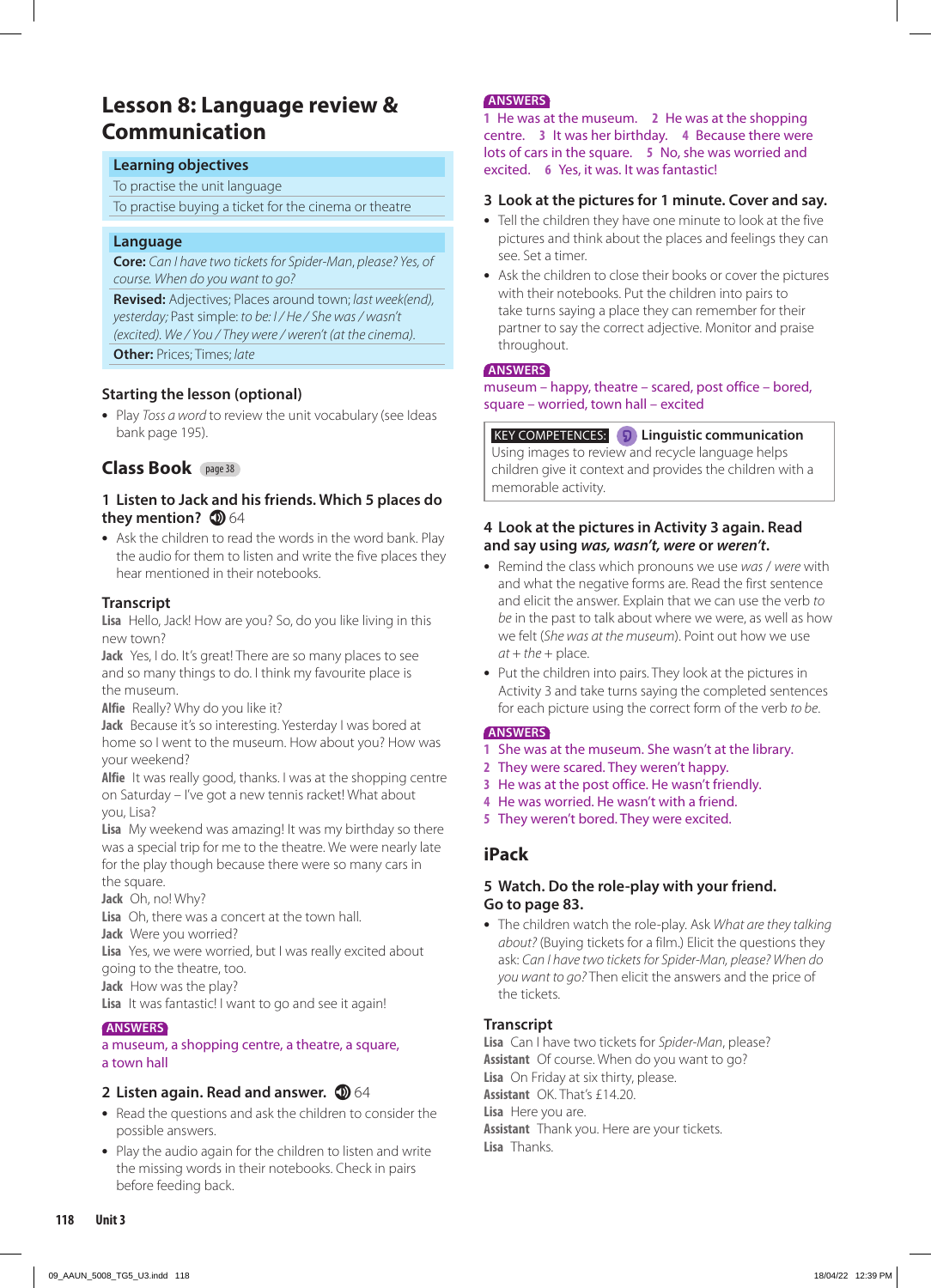# **Lesson 8: Language review & Communication**

#### **Learning objectives**

To practise the unit language

To practise buying a ticket for the cinema or theatre

#### **Language**

**Core:** *Can I have two tickets for Spider-Man*, *please? Yes, of course. When do you want to go?*

**Revised:** Adjectives; Places around town; *last week(end), yesterday;* Past simple: *to be: I / He / She was / wasn't (excited). We / You / They were / weren't (at the cinema).* 

**Other:** Prices; Times; *late*

#### **Starting the lesson (optional)**

**•** Play *Toss a word* to review the unit vocabulary (see Ideas bank page 195).

# **Class Book** page 38

#### **1 Listen to Jack and his friends. Which 5 places do**  they mention? **164**

**•** Ask the children to read the words in the word bank. Play the audio for them to listen and write the five places they hear mentioned in their notebooks.

#### **Transcript**

**Lisa** Hello, Jack! How are you? So, do you like living in this new town?

**Jack** Yes, I do. It's great! There are so many places to see and so many things to do. I think my favourite place is the museum.

**Alfie** Really? Why do you like it?

**Jack** Because it's so interesting. Yesterday I was bored at home so I went to the museum. How about you? How was your weekend?

**Alfie** It was really good, thanks. I was at the shopping centre on Saturday – I've got a new tennis racket! What about you, Lisa?

**Lisa** My weekend was amazing! It was my birthday so there was a special trip for me to the theatre. We were nearly late for the play though because there were so many cars in the square.

**Jack** Oh, no! Why?

**Lisa** Oh, there was a concert at the town hall.

**Jack** Were you worried?

**Lisa** Yes, we were worried, but I was really excited about going to the theatre, too.

**Jack** How was the play?

**Lisa** It was fantastic! I want to go and see it again!

#### **ANSWERS**

#### a museum, a shopping centre, a theatre, a square, a town hall

#### **2 Listen again. Read and answer. 1**64

- **•** Read the questions and ask the children to consider the possible answers.
- **•** Play the audio again for the children to listen and write the missing words in their notebooks. Check in pairs before feeding back.

#### **ANSWERS**

**1** He was at the museum. **2** He was at the shopping centre. **3** It was her birthday. **4** Because there were lots of cars in the square. **5** No, she was worried and excited. **6** Yes, it was. It was fantastic!

#### **3 Look at the pictures for 1 minute. Cover and say.**

- **•** Tell the children they have one minute to look at the five pictures and think about the places and feelings they can see. Set a timer.
- **•** Ask the children to close their books or cover the pictures with their notebooks. Put the children into pairs to take turns saying a place they can remember for their partner to say the correct adjective. Monitor and praise throughout.

#### **ANSWERS**

#### museum – happy, theatre – scared, post office – bored, square – worried, town hall – excited

#### KEY COMPETENCES: **Linguistic communication**

Using images to review and recycle language helps children give it context and provides the children with a memorable activity.

#### **4 Look at the pictures in Activity 3 again. Read and say using** *was, wasn't, were* **or** *weren't***.**

- **•** Remind the class which pronouns we use *was* / *were* with and what the negative forms are. Read the first sentence and elicit the answer. Explain that we can use the verb *to be* in the past to talk about where we were, as well as how we felt (*She was at the museum*). Point out how we use  $at + the + place.$
- **•** Put the children into pairs. They look at the pictures in Activity 3 and take turns saying the completed sentences for each picture using the correct form of the verb *to be*.

#### **ANSWERS**

- **1** She was at the museum. She wasn't at the library.
- **2** They were scared. They weren't happy.
- **3** He was at the post office. He wasn't friendly.
- **4** He was worried. He wasn't with a friend.
- **5** They weren't bored. They were excited.

# **iPack**

#### **5 Watch. Do the role-play with your friend. Go to page 83.**

**•** The children watch the role-play. Ask *What are they talking about?* (Buying tickets for a film.) Elicit the questions they ask: *Can I have two tickets for Spider-Man, please? When do you want to go?* Then elicit the answers and the price of the tickets.

#### **Transcript**

**Lisa** Can I have two tickets for *Spider-Man*, please? **Assistant** Of course. When do you want to go? **Lisa** On Friday at six thirty, please. **Assistant** OK. That's £14.20. **Lisa** Here you are. **Assistant** Thank you. Here are your tickets. **Lisa** Thanks.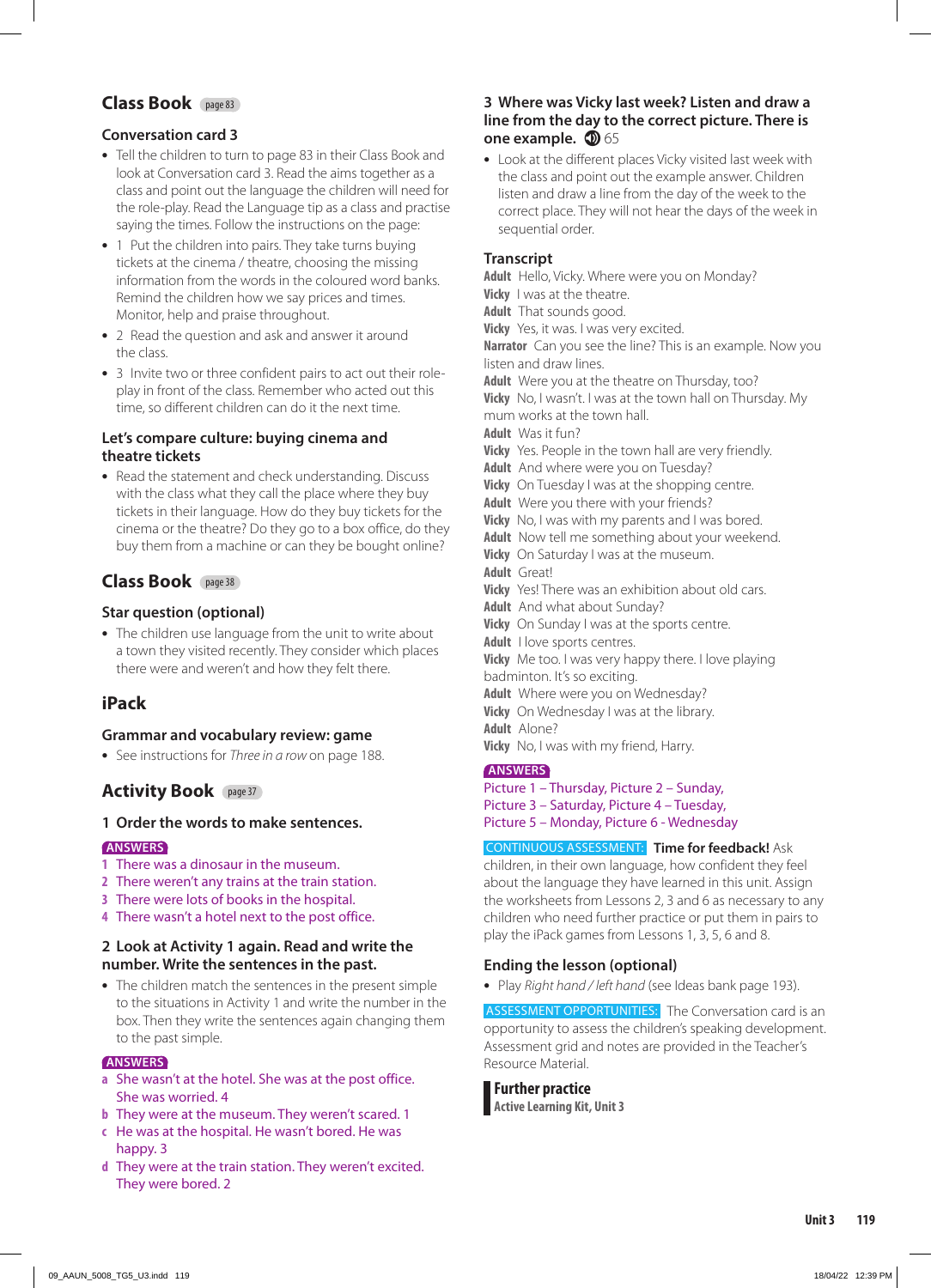# **Class Book** page 83

### **Conversation card 3**

- **•** Tell the children to turn to page 83 in their Class Book and look at Conversation card 3. Read the aims together as a class and point out the language the children will need for the role-play. Read the Language tip as a class and practise saying the times. Follow the instructions on the page:
- **•** 1 Put the children into pairs. They take turns buying tickets at the cinema / theatre, choosing the missing information from the words in the coloured word banks. Remind the children how we say prices and times. Monitor, help and praise throughout.
- **•** 2 Read the question and ask and answer it around the class.
- **•** 3 Invite two or three confident pairs to act out their roleplay in front of the class. Remember who acted out this time, so different children can do it the next time.

#### **Let's compare culture: buying cinema and theatre tickets**

**•** Read the statement and check understanding. Discuss with the class what they call the place where they buy tickets in their language. How do they buy tickets for the cinema or the theatre? Do they go to a box office, do they buy them from a machine or can they be bought online?

# **Class Book** page 38

#### **Star question (optional)**

**•** The children use language from the unit to write about a town they visited recently. They consider which places there were and weren't and how they felt there.

# **iPack**

#### **Grammar and vocabulary review: game**

**•** See instructions for *Three in a row* on page 188.

# **Activity Book** page 37

#### **1 Order the words to make sentences.**

#### **ANSWERS**

- **1** There was a dinosaur in the museum.
- **2** There weren't any trains at the train station.
- **3** There were lots of books in the hospital.
- **4** There wasn't a hotel next to the post office.

#### **2 Look at Activity 1 again. Read and write the number. Write the sentences in the past.**

**•** The children match the sentences in the present simple to the situations in Activity 1 and write the number in the box. Then they write the sentences again changing them to the past simple.

#### **ANSWERS**

- **a** She wasn't at the hotel. She was at the post office. She was worried. 4
- **b** They were at the museum. They weren't scared. 1
- **c** He was at the hospital. He wasn't bored. He was happy. 3
- **d** They were at the train station. They weren't excited. They were bored. 2

#### **3 Where was Vicky last week? Listen and draw a line from the day to the correct picture. There is one example. <b>D** 65

**•** Look at the different places Vicky visited last week with the class and point out the example answer. Children listen and draw a line from the day of the week to the correct place. They will not hear the days of the week in sequential order.

#### **Transcript**

**Adult** Hello, Vicky. Where were you on Monday? **Vicky** I was at the theatre. **Adult** That sounds good. **Vicky** Yes, it was. I was very excited. **Narrator** Can you see the line? This is an example. Now you listen and draw lines. **Adult** Were you at the theatre on Thursday, too? **Vicky** No, I wasn't. I was at the town hall on Thursday. My mum works at the town hall. **Adult** Was it fun? **Vicky** Yes. People in the town hall are very friendly. **Adult** And where were you on Tuesday? **Vicky** On Tuesday I was at the shopping centre. **Adult** Were you there with your friends? **Vicky** No, I was with my parents and I was bored. **Adult** Now tell me something about your weekend. **Vicky** On Saturday I was at the museum. **Adult** Great! **Vicky** Yes! There was an exhibition about old cars. **Adult** And what about Sunday? **Vicky** On Sunday I was at the sports centre. **Adult** I love sports centres. **Vicky** Me too. I was very happy there. I love playing badminton. It's so exciting. **Adult** Where were you on Wednesday? **Vicky** On Wednesday I was at the library. **Adult** Alone? **Vicky** No, I was with my friend, Harry. **ANSWERS** Picture 1 – Thursday, Picture 2 – Sunday, Picture 3 – Saturday, Picture 4 – Tuesday, Picture 5 – Monday, Picture 6 - Wednesday

#### CONTINUOUS ASSESSMENT: **Time for feedback!** Ask

children, in their own language, how confident they feel about the language they have learned in this unit. Assign the worksheets from Lessons 2, 3 and 6 as necessary to any children who need further practice or put them in pairs to play the iPack games from Lessons 1, 3, 5, 6 and 8.

# **Ending the lesson (optional)**

**•** Play *Right hand / left hand* (see Ideas bank page 193).

ASSESSMENT OPPORTUNITIES: The Conversation card is an opportunity to assess the children's speaking development. Assessment grid and notes are provided in the Teacher's Resource Material.

**Further practice Active Learning Kit, Unit 3**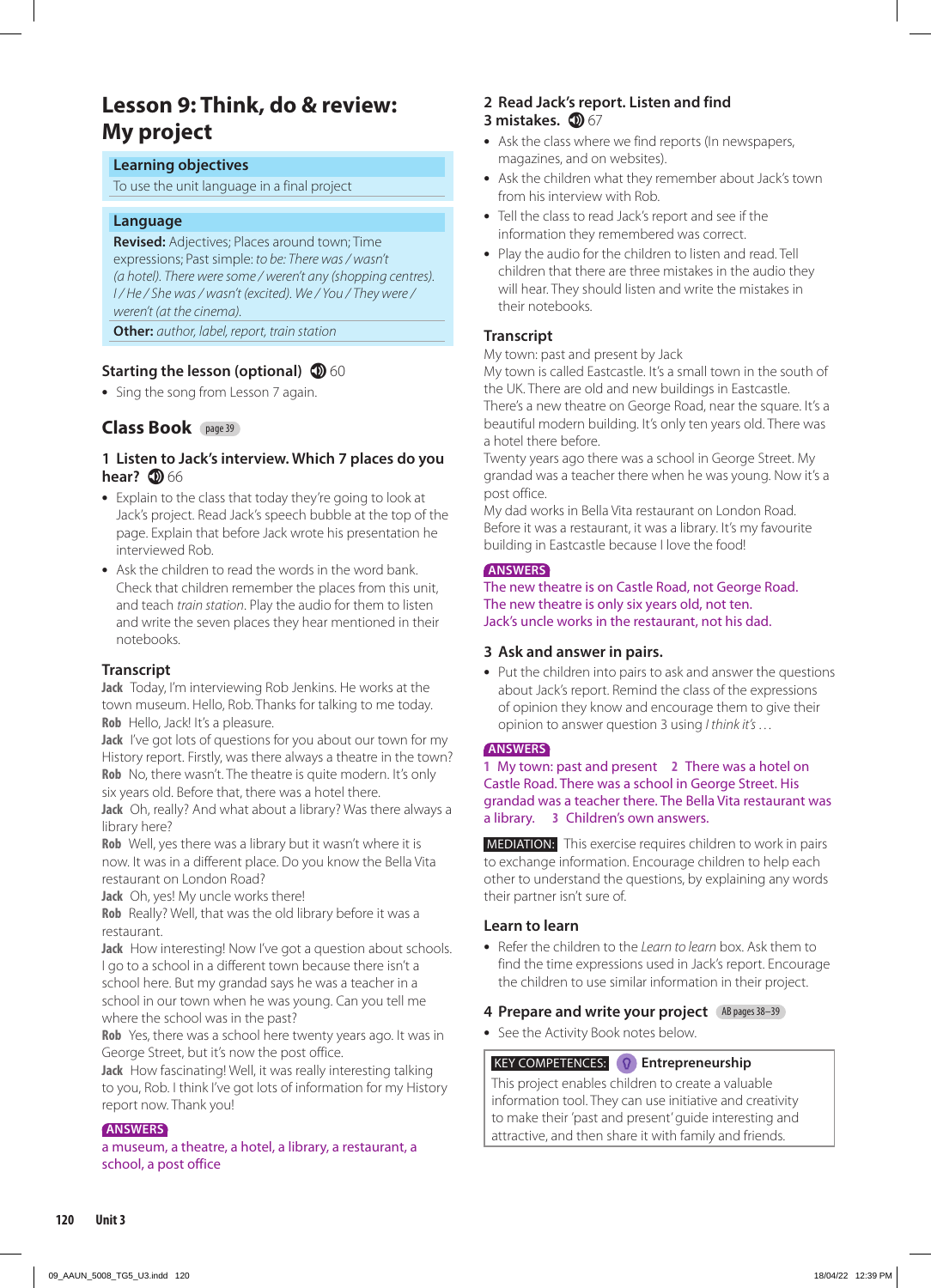# **Lesson 9: Think, do & review: My project**

#### **Learning objectives**

To use the unit language in a final project

#### **Language**

**Revised:** Adjectives; Places around town; Time expressions; Past simple: *to be: There was / wasn't (a hotel). There were some / weren't any (shopping centres). I / He / She was / wasn't (excited). We / You / They were / weren't (at the cinema).*

**Other:** *author, label, report, train station*

#### **Starting the lesson (optional) 1**60

**•** Sing the song from Lesson 7 again.

# **Class Book** page 39

#### **1 Listen to Jack's interview. Which 7 places do you hear? <b>D** 66

- **•** Explain to the class that today they're going to look at Jack's project. Read Jack's speech bubble at the top of the page. Explain that before Jack wrote his presentation he interviewed Rob.
- **•** Ask the children to read the words in the word bank. Check that children remember the places from this unit, and teach *train station*. Play the audio for them to listen and write the seven places they hear mentioned in their notebooks.

#### **Transcript**

**Jack** Today, I'm interviewing Rob Jenkins. He works at the town museum. Hello, Rob. Thanks for talking to me today. **Rob** Hello, Jack! It's a pleasure.

**Jack** I've got lots of questions for you about our town for my History report. Firstly, was there always a theatre in the town? **Rob** No, there wasn't. The theatre is quite modern. It's only six years old. Before that, there was a hotel there.

**Jack** Oh, really? And what about a library? Was there always a library here?

**Rob** Well, yes there was a library but it wasn't where it is now. It was in a different place. Do you know the Bella Vita restaurant on London Road?

**Jack** Oh, yes! My uncle works there!

**Rob** Really? Well, that was the old library before it was a restaurant.

**Jack** How interesting! Now I've got a question about schools. I go to a school in a different town because there isn't a school here. But my grandad says he was a teacher in a school in our town when he was young. Can you tell me where the school was in the past?

**Rob** Yes, there was a school here twenty years ago. It was in George Street, but it's now the post office.

**Jack** How fascinating! Well, it was really interesting talking to you, Rob. I think I've got lots of information for my History report now. Thank you!

#### **ANSWERS**

a museum, a theatre, a hotel, a library, a restaurant, a school, a post office

# **2 Read Jack's report. Listen and find**

# **3 mistakes. <b>1**67

- **•** Ask the class where we find reports (In newspapers, magazines, and on websites).
- **•** Ask the children what they remember about Jack's town from his interview with Rob.
- **•** Tell the class to read Jack's report and see if the information they remembered was correct.
- **•** Play the audio for the children to listen and read. Tell children that there are three mistakes in the audio they will hear. They should listen and write the mistakes in their notebooks.

#### **Transcript**

My town: past and present by Jack

My town is called Eastcastle. It's a small town in the south of the UK. There are old and new buildings in Eastcastle. There's a new theatre on George Road, near the square. It's a beautiful modern building. It's only ten years old. There was a hotel there before.

Twenty years ago there was a school in George Street. My grandad was a teacher there when he was young. Now it's a post office.

My dad works in Bella Vita restaurant on London Road. Before it was a restaurant, it was a library. It's my favourite building in Eastcastle because I love the food!

#### **ANSWERS**

The new theatre is on Castle Road, not George Road. The new theatre is only six years old, not ten. Jack's uncle works in the restaurant, not his dad.

#### **3 Ask and answer in pairs.**

**•** Put the children into pairs to ask and answer the questions about Jack's report. Remind the class of the expressions of opinion they know and encourage them to give their opinion to answer question 3 using *I think it's …*

#### **ANSWERS**

**1** My town: past and present **2** There was a hotel on Castle Road. There was a school in George Street. His grandad was a teacher there. The Bella Vita restaurant was a library. **3** Children's own answers.

 MEDIATION: This exercise requires children to work in pairs to exchange information. Encourage children to help each other to understand the questions, by explaining any words their partner isn't sure of.

#### **Learn to learn**

**•** Refer the children to the *Learn to learn* box. Ask them to find the time expressions used in Jack's report. Encourage the children to use similar information in their project.

#### **4 Prepare and write your project** AB pages 38–39

**•** See the Activity Book notes below.

#### **KEY COMPETENCES: Q** Entrepreneurship

This project enables children to create a valuable information tool. They can use initiative and creativity to make their 'past and present' guide interesting and attractive, and then share it with family and friends.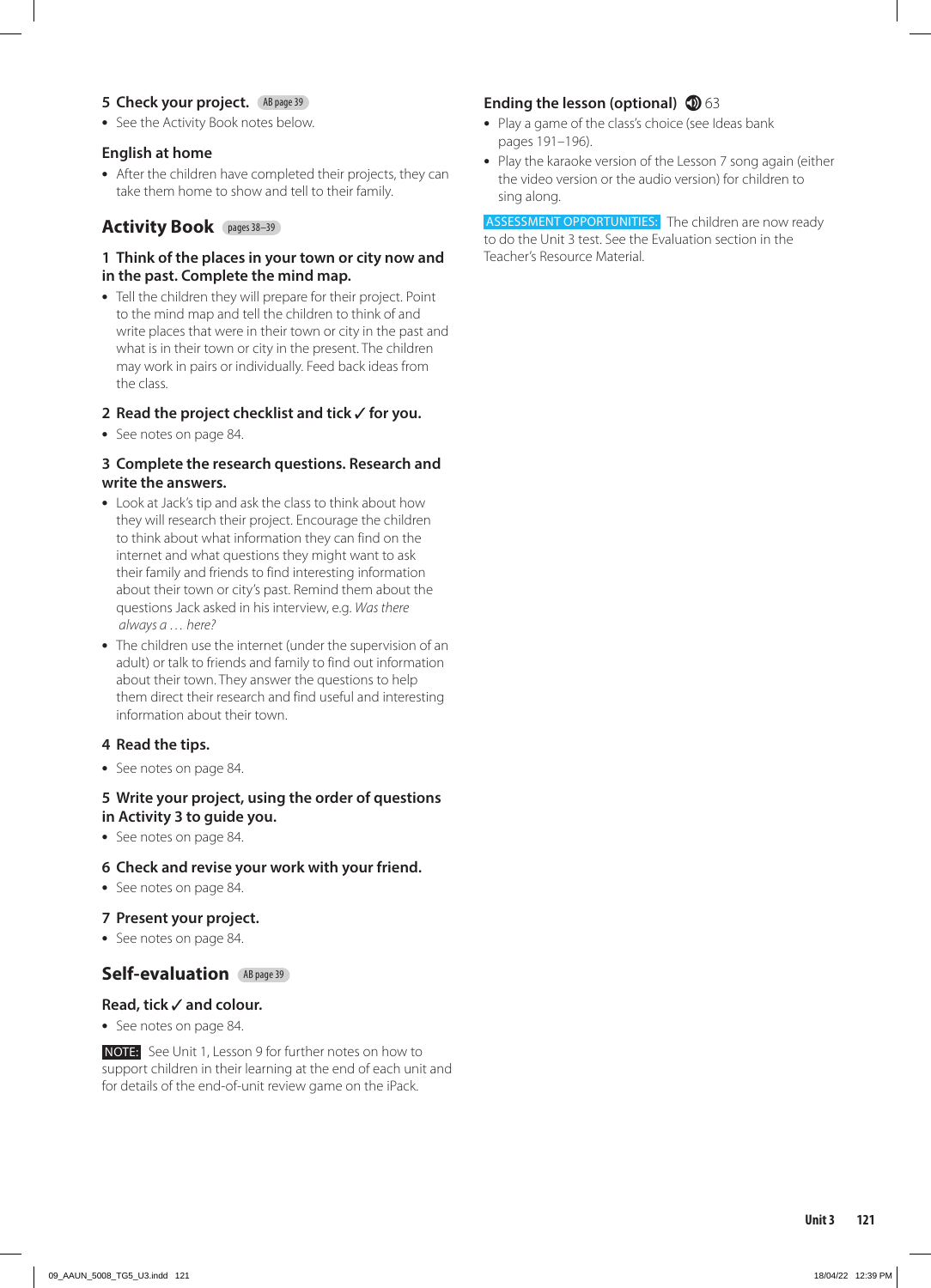#### **5 Check your project.** AB page 39

**•** See the Activity Book notes below.

#### **English at home**

**•** After the children have completed their projects, they can take them home to show and tell to their family.

# **Activity Book** pages 38–39

#### **1 Think of the places in your town or city now and in the past. Complete the mind map.**

**•** Tell the children they will prepare for their project. Point to the mind map and tell the children to think of and write places that were in their town or city in the past and what is in their town or city in the present. The children may work in pairs or individually. Feed back ideas from the class.

#### **2 Read the project checklist and tick for you.**

**•** See notes on page 84.

#### **3 Complete the research questions. Research and write the answers.**

- **•** Look at Jack's tip and ask the class to think about how they will research their project. Encourage the children to think about what information they can find on the internet and what questions they might want to ask their family and friends to find interesting information about their town or city's past. Remind them about the questions Jack asked in his interview, e.g. *Was there always a … here?*
- **•** The children use the internet (under the supervision of an adult) or talk to friends and family to find out information about their town. They answer the questions to help them direct their research and find useful and interesting information about their town.

#### **4 Read the tips.**

**•** See notes on page 84.

#### **5 Write your project, using the order of questions in Activity 3 to guide you.**

- **•** See notes on page 84.
- **6 Check and revise your work with your friend.**
- **•** See notes on page 84.

#### **7 Present your project.**

**•** See notes on page 84.

#### **Self-evaluation** AB page 39

#### **Read, tick √ and colour.**

**•** See notes on page 84.

 NOTE: See Unit 1, Lesson 9 for further notes on how to support children in their learning at the end of each unit and for details of the end-of-unit review game on the iPack.

#### **Ending the lesson (optional) 1**63

- **•** Play a game of the class's choice (see Ideas bank pages 191–196).
- **•** Play the karaoke version of the Lesson 7 song again (either the video version or the audio version) for children to sing along.

ASSESSMENT OPPORTUNITIES: The children are now ready to do the Unit 3 test. See the Evaluation section in the Teacher's Resource Material.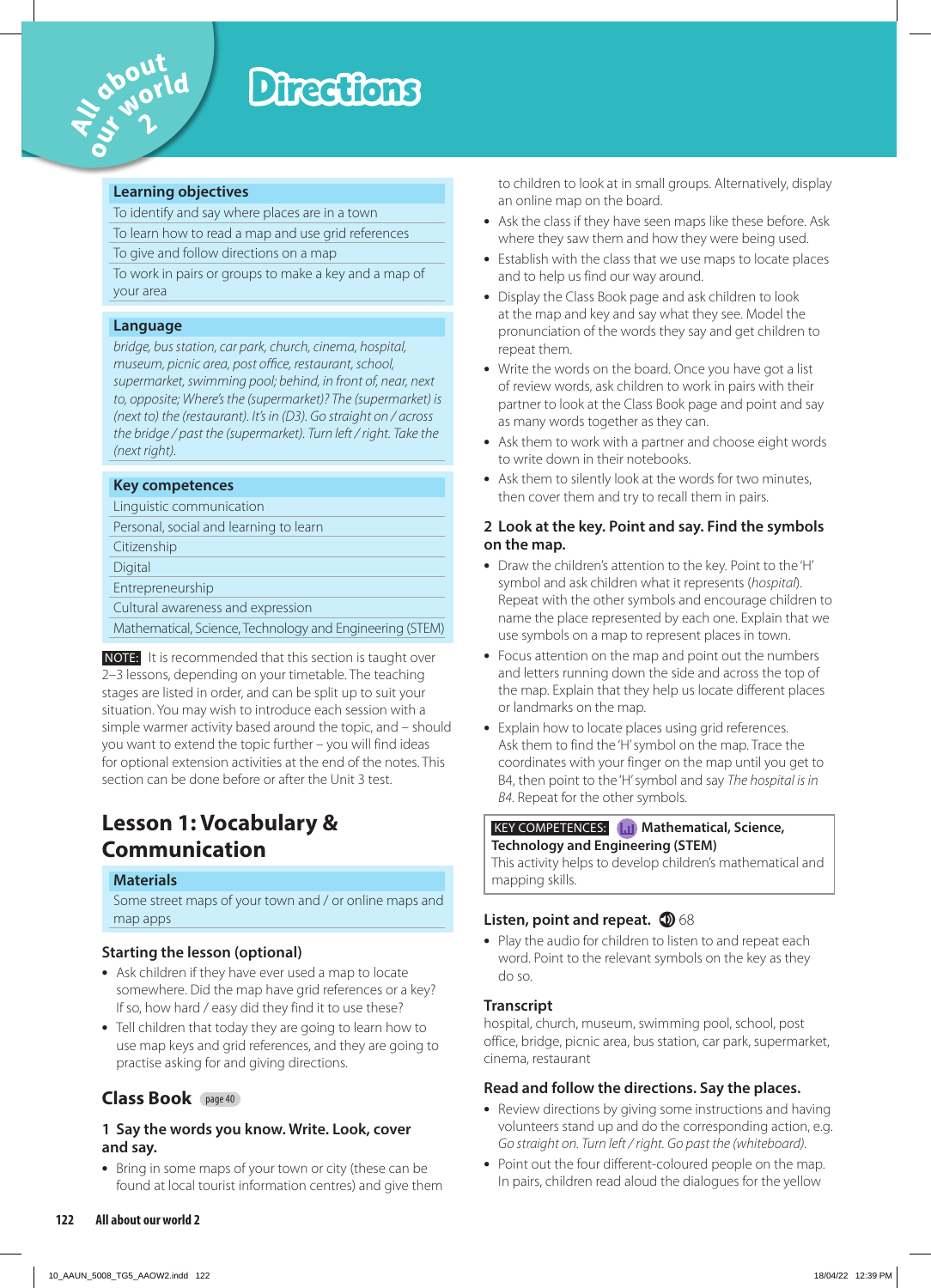

# **Directions**

#### **Learning objectives**

To identify and say where places are in a town

To learn how to read a map and use grid references

To give and follow directions on a map

To work in pairs or groups to make a key and a map of your area

#### **Language**

*bridge, bus station, car park, church, cinema, hospital, museum, picnic area, post office, restaurant, school, supermarket, swimming pool; behind, in front of, near, next to, opposite; Where's the (supermarket)? The (supermarket) is (next to) the (restaurant). It's in (D3). Go straight on / across the bridge / past the (supermarket). Turn left / right. Take the (next right).*

#### **Key competences**

Linguistic communication

Personal, social and learning to learn

Citizenship

Digital

Entrepreneurship

Cultural awareness and expression

Mathematical, Science, Technology and Engineering (STEM)

 NOTE: It is recommended that this section is taught over 2–3 lessons, depending on your timetable. The teaching stages are listed in order, and can be split up to suit your situation. You may wish to introduce each session with a simple warmer activity based around the topic, and – should you want to extend the topic further – you will find ideas for optional extension activities at the end of the notes. This section can be done before or after the Unit 3 test.

# **Lesson 1: Vocabulary & Communication**

#### **Materials**

Some street maps of your town and / or online maps and map apps

#### **Starting the lesson (optional)**

- **•** Ask children if they have ever used a map to locate somewhere. Did the map have grid references or a key? If so, how hard / easy did they find it to use these?
- **•** Tell children that today they are going to learn how to use map keys and grid references, and they are going to practise asking for and giving directions.

# **Class Book** page 40

#### **1 Say the words you know. Write. Look, cover and say.**

**•** Bring in some maps of your town or city (these can be found at local tourist information centres) and give them

to children to look at in small groups. Alternatively, display an online map on the board.

- **•** Ask the class if they have seen maps like these before. Ask where they saw them and how they were being used.
- **•** Establish with the class that we use maps to locate places and to help us find our way around.
- **•** Display the Class Book page and ask children to look at the map and key and say what they see. Model the pronunciation of the words they say and get children to repeat them.
- **•** Write the words on the board. Once you have got a list of review words, ask children to work in pairs with their partner to look at the Class Book page and point and say as many words together as they can.
- **•** Ask them to work with a partner and choose eight words to write down in their notebooks.
- **•** Ask them to silently look at the words for two minutes, then cover them and try to recall them in pairs.

#### **2 Look at the key. Point and say. Find the symbols on the map.**

- **•** Draw the children's attention to the key. Point to the 'H' symbol and ask children what it represents (*hospital*). Repeat with the other symbols and encourage children to name the place represented by each one. Explain that we use symbols on a map to represent places in town.
- **•** Focus attention on the map and point out the numbers and letters running down the side and across the top of the map. Explain that they help us locate different places or landmarks on the map.
- **•** Explain how to locate places using grid references. Ask them to find the 'H' symbol on the map. Trace the coordinates with your finger on the map until you get to B4, then point to the 'H' symbol and say *The hospital is in B4*. Repeat for the other symbols.

# **KEY COMPETENCES: Mathematical, Science,**

**Technology and Engineering (STEM)**  This activity helps to develop children's mathematical and mapping skills.

# **Listen, point and repeat.**  $\mathbf{\mathcal{D}}$  **68**

**•** Play the audio for children to listen to and repeat each word. Point to the relevant symbols on the key as they do so.

#### **Transcript**

hospital, church, museum, swimming pool, school, post office, bridge, picnic area, bus station, car park, supermarket, cinema, restaurant

# **Read and follow the directions. Say the places.**

- **•** Review directions by giving some instructions and having volunteers stand up and do the corresponding action, e.g. *Go straight on. Turn left / right. Go past the (whiteboard).*
- **•** Point out the four different-coloured people on the map. In pairs, children read aloud the dialogues for the yellow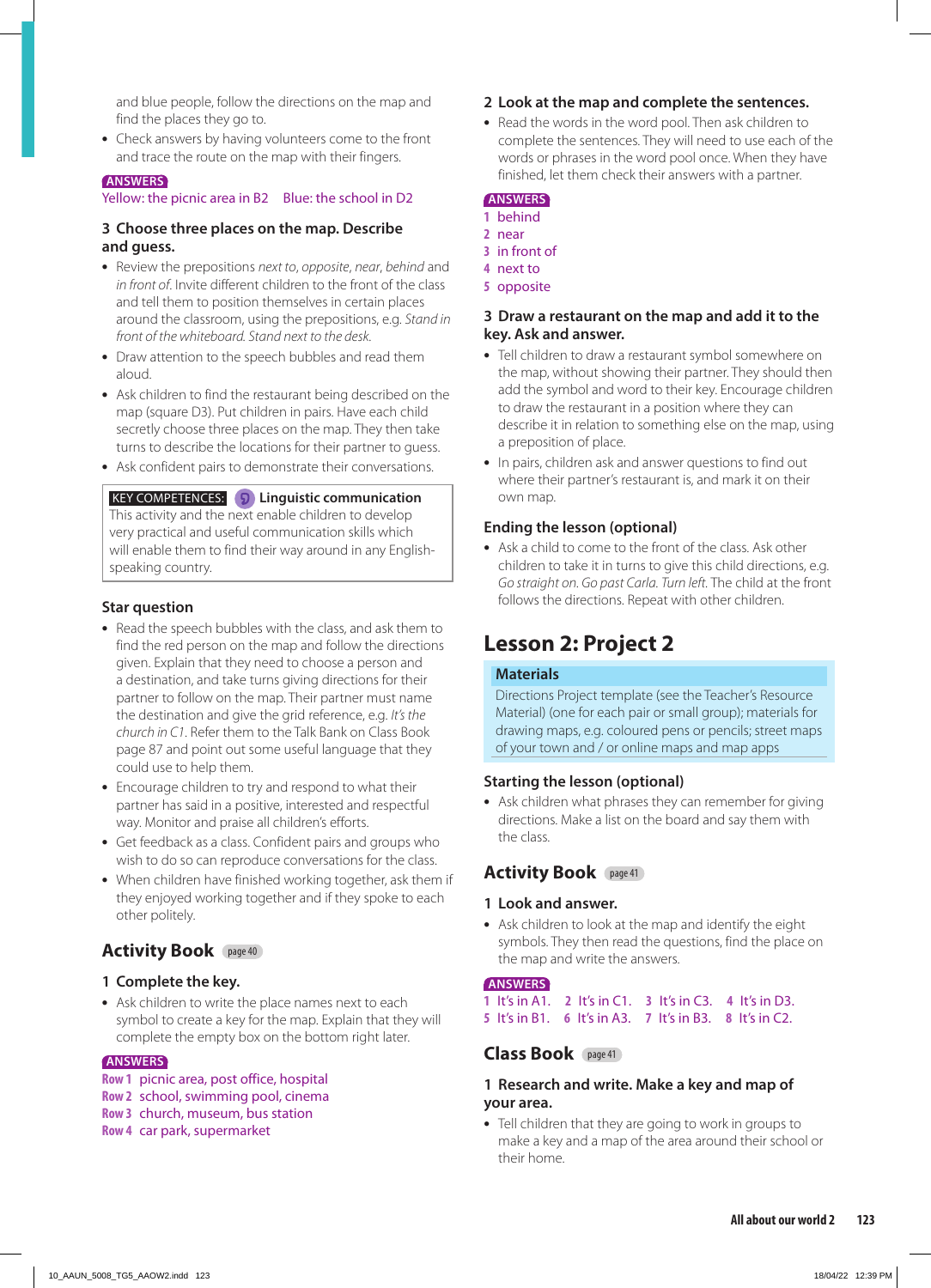and blue people, follow the directions on the map and find the places they go to.

**•** Check answers by having volunteers come to the front and trace the route on the map with their fingers.

#### **ANSWERS**

#### Yellow: the picnic area in B2 Blue: the school in D2

#### **3 Choose three places on the map. Describe and guess.**

- **•** Review the prepositions *next to*, *opposite*, *near*, *behind* and *in front of*. Invite different children to the front of the class and tell them to position themselves in certain places around the classroom, using the prepositions, e.g. *Stand in front of the whiteboard. Stand next to the desk.*
- **•** Draw attention to the speech bubbles and read them aloud.
- **•** Ask children to find the restaurant being described on the map (square D3). Put children in pairs. Have each child secretly choose three places on the map. They then take turns to describe the locations for their partner to guess.
- **•** Ask confident pairs to demonstrate their conversations.

 KEY COMPETENCES: **Linguistic communication**  This activity and the next enable children to develop very practical and useful communication skills which will enable them to find their way around in any Englishspeaking country.

#### **Star question**

- **•** Read the speech bubbles with the class, and ask them to find the red person on the map and follow the directions given. Explain that they need to choose a person and a destination, and take turns giving directions for their partner to follow on the map. Their partner must name the destination and give the grid reference, e.g. *It's the church in C1*. Refer them to the Talk Bank on Class Book page 87 and point out some useful language that they could use to help them.
- **•** Encourage children to try and respond to what their partner has said in a positive, interested and respectful way. Monitor and praise all children's efforts.
- **•** Get feedback as a class. Confident pairs and groups who wish to do so can reproduce conversations for the class.
- **•** When children have finished working together, ask them if they enjoyed working together and if they spoke to each other politely.

# **Activity Book** page 40

#### **1 Complete the key.**

**•** Ask children to write the place names next to each symbol to create a key for the map. Explain that they will complete the empty box on the bottom right later.

#### **ANSWERS**

- **Row 1** picnic area, post office, hospital **Row 2** school, swimming pool, cinema **Row 3** church, museum, bus station
- **Row 4** car park, supermarket

#### **2 Look at the map and complete the sentences.**

**•** Read the words in the word pool. Then ask children to complete the sentences. They will need to use each of the words or phrases in the word pool once. When they have finished, let them check their answers with a partner.

#### **ANSWERS**

- **1** behind
- **2** near
- **3** in front of
- **4** next to
- **5** opposite

#### **3 Draw a restaurant on the map and add it to the key. Ask and answer.**

- **•** Tell children to draw a restaurant symbol somewhere on the map, without showing their partner. They should then add the symbol and word to their key. Encourage children to draw the restaurant in a position where they can describe it in relation to something else on the map, using a preposition of place.
- **•** In pairs, children ask and answer questions to find out where their partner's restaurant is, and mark it on their own map.

#### **Ending the lesson (optional)**

**•** Ask a child to come to the front of the class. Ask other children to take it in turns to give this child directions, e.g. *Go straight on. Go past Carla. Turn left.* The child at the front follows the directions. Repeat with other children.

# **Lesson 2: Project 2**

#### **Materials**

Directions Project template (see the Teacher's Resource Material) (one for each pair or small group); materials for drawing maps, e.g. coloured pens or pencils; street maps of your town and / or online maps and map apps

#### **Starting the lesson (optional)**

**•** Ask children what phrases they can remember for giving directions. Make a list on the board and say them with the class.

# **Activity Book** page 41

#### **1 Look and answer.**

**•** Ask children to look at the map and identify the eight symbols. They then read the questions, find the place on the map and write the answers.

#### **ANSWERS**

**1** It's in A1. **2** It's in C1. **3** It's in C3. **4** It's in D3. **5** It's in B1. **6** It's in A3. **7** It's in B3. **8** It's in C2.

#### **Class Book** page 41

#### **1 Research and write. Make a key and map of your area.**

**•** Tell children that they are going to work in groups to make a key and a map of the area around their school or their home.